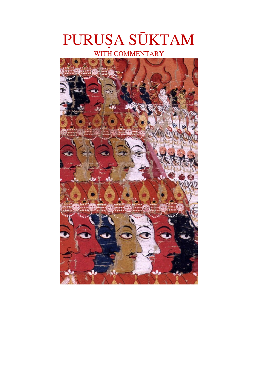# PURUṢA SŪKTAM

WITH COMMENTARY

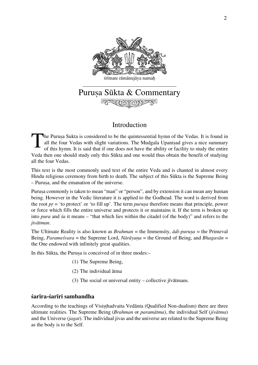

# Puruṣa Sūkta & Commentary 不可

# Introduction

The Purusa Sukta is considered to be the quintessential hymn of the Vedas. It is found in all the four Vedas with slight variations. The Mudgala Upaniṣad gives a nice summary of this hymn. It is said that if one does not have the ability or facility to study the entire Veda then one should study only this Sūkta and one would thus obtain the benefit of studying all the four Vedas. T

This text is the most commonly used text of the entire Veda and is chanted in almost every Hindu religious ceremony from birth to death. The subject of this Sūkta is the Supreme Being – Puruṣa, and the emanation of the universe.

Purusa commonly is taken to mean "man" or "person", and by extension it can mean any human being. However in the Vedic literature it is applied to the Godhead. The word is derived from the root *pṛ* = 'to protect' or 'to fill up'. The term *puruṣa* therefore means that principle, power or force which fills the entire universe and protects it or maintains it. If the term is broken up into *pura* and *śa* it means – "that which lies within the citadel (of the body)" and refers to the *jivātman*.

The Ultimate Reality is also known as *Brahman* = the Immensity, *ādi-puruṣa* = the Primeval Being, *Parameśvara* = the Supreme Lord, *Nārāyaṇa* = the Ground of Being, and *Bhagavān* = the One endowed with infinitely great qualities.

In this Sūkta, the Purusa is conceived of in three modes:-

- (1) The Supreme Being,
- (2) The individual ātma
- (3) The social or universal entity collective jīvātmans.

## **śarīra-śarīri sambandha**

According to the teachings of Visisthadvaita Vedānta (Qualified Non-dualism) there are three ultimate realities. The Supreme Being (*Brahman* or *paramātma*), the individual Self (*jivātma*) and the Universe (*jagat*). The individual jivas and the universe are related to the Supreme Being as the body is to the Self.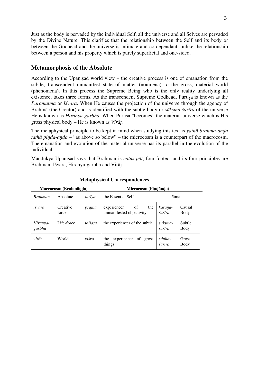Just as the body is pervaded by the individual Self, all the universe and all Selves are pervaded by the Divine Nature. This clarifies that the relationship between the Self and its body or between the Godhead and the universe is intimate and co-dependant, unlike the relationship between a person and his property which is purely superficial and one-sided.

## **Metamorphosis of the Absolute**

According to the Upanisad world view – the creative process is one of emanation from the subtle, transcendent unmanifest state of matter (noumena) to the gross, material world (phenomena). In this process the Supreme Being who is the only reality underlying all existence, takes three forms. As the transcendent Supreme Godhead, Purusa is known as the *Paramātma* or *Iśvara*. When He causes the projection of the universe through the agency of Brahmā (the Creator) and is identified with the subtle-body or *sūkṣma śarīra* of the universe He is known as *Hiranya-garbha*. When Purusa "becomes" the material universe which is His gross physical body – He is known as *Virāṭ.*

The metaphysical principle to be kept in mind when studying this text is *yathā brahma-aṇḍa tath* $\bar{a}$  *pinda-anda* – "as above so below" – the microcosm is a counterpart of the macrocosm. The emanation and evolution of the material universe has its parallel in the evolution of the individual.

Māṇḍukya Upaniṣad says that Brahman is *catuṣ-pāt*, four-footed, and its four principles are Brahman, Iśvara, Hiraṇya-garbha and Virāj.

| Macrocosm (Brahmānda) |                   |         | Microcosm (Pindānda)                                 |                   |                |
|-----------------------|-------------------|---------|------------------------------------------------------|-------------------|----------------|
| <b>Brahman</b>        | Absolute          | turīya  | the Essential Self                                   | ātma              |                |
| īśvara                | Creative<br>force | prajña  | of<br>the<br>experiencer<br>unmanifested objectivity | kārana-<br>śarīra | Causal<br>Body |
| Hiranya-<br>garbha    | Life-force        | taijasa | the experiencer of the subtle                        | sūksma-<br>śarīra | Subtle<br>Body |
| virāt                 | World             | viśva   | experiencer<br>of gross<br>the<br>things             | sthūla-<br>śarīra | Gross<br>Body  |

#### **Metaphysical Correspondences**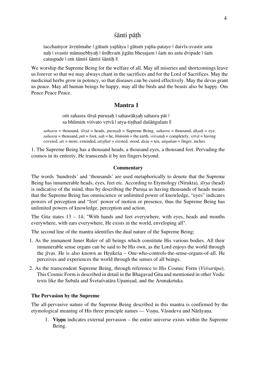## śānti pāṭh

tacchaṁyor āvṛṇīmahe | gātuṁ yajñāya | gātuṁ yajña-pataye | daivīs-svastir astu naḥ | svastir mānuṣebhyaḥ | ūrdhvaṁ jigātu bheṣajam | śaṁ no astu dvipade | śaṁ catuspade | om śāntiś śāntiś śāntih ||

We worship the Supreme Being for the welfare of all. May all miseries and shortcomings leave us forever so that we may always chant in the sacrifices and for the Lord of Sacrifices. May the medicinal herbs grow in potency, so that diseases can be cured effectively. May the devas grant us peace. May all human beings be happy, may all the birds and the beasts also be happy. Om Peace Peace Peace.

## **Mantra 1**

oṁ sahasra śīrṣā puruṣaḥ | sahasrākṣaḥ sahasra pāt | sa bhūmiṁ viśvato vrtvā | atya-tisthad daśāṅgulam ||

 $sahasra =$  thousand,  $\tilde{s}$ *irs* $\tilde{a}$  = heads, *purusah* = Supreme Being, *sahasra* = thousand,  $\tilde{a}$ *ksah* = eye, sahasra = thousand,  $p\bar{a}t =$  foot, sah = he, bhūmin = the earth, visvatah = completely, vrtv $\bar{a}$  = having covered,  $ati =$  more, extended,  $a$ *tisthat* = existed, stood,  $da$ *ś* $a$  = ten,  $a$ *n*<sup>*igulam* = finger, inches.</sup>

1. The Supreme Being has a thousand heads, a thousand eyes, a thousand feet. Pervading the cosmos in its entirety, He transcends it by ten fingers beyond.

#### **Commentary**

The words 'hundreds' and 'thousands' are used metaphorically to denote that the Supreme Being has innumerable heads, eyes, feet etc. According to Etymology (Nirukta), *śīrṣa* (head) is indicative of the mind, thus by describing the Purusa as having thousands of heads means that the Supreme Being has omniscience or unlimited power of knowledge, "eyes" indicates powers of perception and "feet' power of motion or presence, thus the Supreme Being has unlimited powers of knowledge, perception and action.

The Gita states 13 – 14; "With hands and feet everywhere, with eyes, heads and mouths everywhere, with ears everywhere, He exists in the world, enveloping all".

The second line of the mantra identifies the dual nature of the Supreme Being;

- 1. As the immanent Inner Ruler of all beings which constitute His various bodies. All their innumerable sense organs can be said to be His own, as the Lord enjoys the world through the jīvas. He is also known as Hṛṣikeśa – One-who-controls-the-sense-organs-of-all. He perceives and experiences the world through the senses of all beings.
- 2. As the transcendent Supreme Being, through reference to His Cosmic Form (*Viśvarūpa*). This Cosmic Form is described in detail in the Bhagavad Gita and mentioned in other Vedic texts like the Subala and Śvetaśvatāra Upaniṣad, and the Arunaketuka.

#### **The Pervasion by the Supreme**

The all-pervasive nature of the Supreme Being described in this mantra is confirmed by the etymological meaning of His three principle names — Viṣṇu, Vāsudeva and Nārāyaṇa.

1. **Viṣṇu** indicates external pervasion – the entire universe exists within the Supreme Being.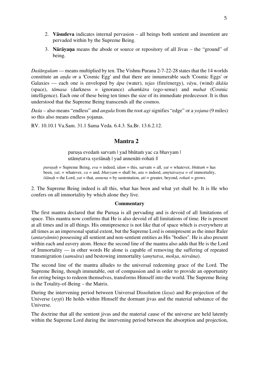- 2. **Vāsudeva** indicates internal pervasion all beings both sentient and insentient are pervaded within by the Supreme Being.
- 3. **Nārāyaṇa** means the abode or source or repository of all Jivas the "ground" of being.

*Daśāngulam* — means multiplied by ten. The Vishnu Purana 2-7-22-28 states that the 14 worlds constitute an *aṇḍa* or a 'Cosmic Egg' and that there are innumerable such 'Cosmic Eggs' or Galaxies — each one is enveloped by *āpa* (water), *tejas* (fire/energy), *vāyu*, (wind) *ākāśa* (space), *tāmasa* (darkness = ignorance) *ahaṁkāra* (ego-sense) and *mahat* (Cosmic intelligence). Each one of these being ten times the size of its immediate predecessor. It is thus understood that the Supreme Being transcends all the cosmos.

*Daśa* – also means "endless" and *angula* from the root *agi* signifies "edge" or a *yojana* (9 miles) so this also means endless yojanas.

RV. 10.10.1 Va.Sam. 31.1 Sama Veda. 6.4.3. Sa.Br. 13.6.2.12.

## **Mantra 2**

puruṣa evedaṁ sarvaṁ | yad bhūtaṁ yac ca bhavyam | utāmṛtatva syeśānaḥ | yad annenāti-rohati ||

*purusah* = Supreme Being, *eva* = indeed, *idam* = this, sarvam = all, *yat* = whatever, *bhūtam* = has been, *yat*, = whatever, *ca* = and, *bhavyam* = shall be, *uta* = indeed, *amṛtatvasya* = of immortality, *īśānaḥ* = the Lord, *yat* = that, *annena* = by sustentation, *ati* = greater, beyond, *rohati* = grows.

2. The Supreme Being indeed is all this, what has been and what yet shall be. It is He who confers on all immortality by which alone they live.

#### **Commentary**

The first mantra declared that the Purusa is all pervading and is devoid of all limitations of space. This mantra now confirms that He is also devoid of all limitations of time. He is present at all times and in all things. His omnipresence is not like that of space which is everywhere at all times as an impersonal spatial extent, but the Supreme Lord is omnipresent as the inner Ruler (*antaryāmin*) possessing all sentient and non-sentient entities as His "bodies". He is also present within each and eavery atom. Hence the second line of the mantra also adds that He is the Lord of Immortality — in other words He alone is capable of removing the suffering of repeated transmigration (*samsāra*) and bestowing immortality (*amṛtatva*, *mokṣa*, *nirvāna*).

The second line of the mantra alludes to the universal redeeming grace of the Lord. The Supreme Being, though immutable, out of compassion and in order to provide an opportunity for erring beings to redeem themselves, transforms Himself into the world. The Supreme Being is the Totality-of-Being – the Matrix.

During the intervening period between Universal Dissolution (*laya*) and Re-projection of the Universe (*srsti*) He holds within Himself the dormant jivas and the material substance of the Universe.

The doctrine that all the sentient jivas and the material cause of the universe are held latently within the Supreme Lord during the intervening period between the absorption and projection,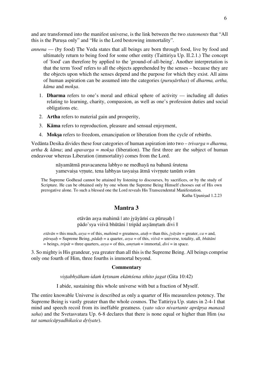and are transformed into the manifest universe, is the link between the two *statements* that "All this is the Purusa only" and "He is the Lord bestowing immortality".

- *annena* (by food) The Veda states that all beings are born through food, live by food and ultimately return to being food for some other entity (Taittiriya Up. II.2.1.) The concept of 'food' can therefore by applied to the 'ground-of-all-being'. Another interpretation is that the term 'food' refers to all the objects apprehended by the senses – because they are the objects upon which the senses depend and the purpose for which they exist. All aims of human aspiration can be assumed into the categories (*puruṣārthas*) of *dharma, artha, kāma* and *mokṣa*.
	- 1. **Dharma** refers to one's moral and ethical sphere of activity including all duties relating to learning, charity, compassion, as well as one's profession duties and social obligations etc.
	- 2. **Artha** refers to material gain and prosperity,
	- 3. **Kāma** refers to reproduction, pleasure and sensual enjoyment,
	- 4. **Mokṣa** refers to freedom, emancipation or liberation from the cycle of rebirths.

Vedānta Desika divides these four categories of human aspiration into two – *trivarga* = *dharma, artha* & *kāma*; and *apavarga* = *mokṣa* (liberation). The first three are the subject of human endeavour whereas Liberation (immortality) comes from the Lord.

> nāyamātmā pravacanena labhyo ne medhayā na bahunā śrutena yamevaisa vrnute, tena labhyas tasyaisa ātmā vivrnute tanūm svām

The Supreme Godhead cannot be attained by listening to discourses, by sacrifices, or by the study of Scripture. He can be obtained only by one whom the Supreme Being Himself chooses out of His own prerogative alone. To such a blessed one the Lord reveals His Transcendental Manifestation. Katha Upaniṣad 1.2.23

## **Mantra 3**

etāvān asya mahimā | ato jyāyāṁś ca pūruṣaḥ | pādo'sya viśvā bhūtāni | tripād asyāmṛtaṁ divi ||

 $et\bar{a}$ *v* $\bar{a}$ *n* = this much,  $\bar{a}$ *sya* = of this,  $\bar{m}$ *nahima*<sup> $\bar{a}$ </sup> = greatness,  $\bar{a}$ *ta* + than this,  $j\gamma\bar{a}$ *y* $\bar{a}$ *n* = greater,  $ca$  = and,  $p\bar{u}ru\sinh =$  Supreme Being,  $p\bar{a}dah =$  a quarter,  $asya =$  of this,  $vi\sinh =$  universe, totality, all, bhūtāni = beings, *tripāt* = three quarters, *asya* = of this, *amṛtaṁ* = immortal, *divi* = in space.

3. So mighty is His grandeur, yea greater than all this is the Supreme Being. All beings comprise only one fourth of Him, three fourths is immortal beyond.

#### **Commentary**

*viṣṭabhyāham-idaṁ kṛtsnam ekāṁśena sthito jagat* (Gita 10:42)

I abide, sustaining this whole universe with but a fraction of Myself.

The entire knowable Universe is described as only a quarter of His measureless potency. The Supreme Being is vastly greater than the whole cosmos. The Tattiriya Up. states in 2-4-1 that mind and speech recoil from its ineffable greatness. (*yato vāco nivartante aprāpya manasā saha*) and the Svetasvatara Up. 6-8 declares that there is none equal or higher than Him (*na tat samaścāpyadhikaśca dṛśyate*).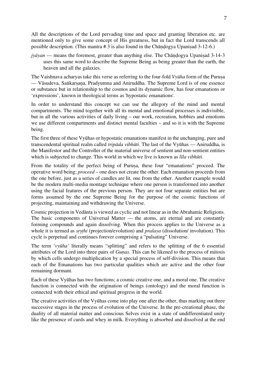All the descriptions of the Lord pervading time and space and granting liberation etc. are mentioned only to give some concept of His greatness, but in fact the Lord transcends all possible description. (This mantra # 3 is also found in the Chāṇḍogya Upaniṣad 3-12-6.)

*jyāyan* — means the foremost, greater than anything else. The Chāndogya Upanisad 3-14-3 uses this same word to describe the Supreme Being as being greater than the earth, the heaven and all the galaxies.

The Vaishnava acharyas take this verse as referring to the four-fold *Vyūha* form of the Purusa — Vāsudeva, Saṅkarṣaṇa, Pradyumna and Aniruddha. The Supreme Lord is of one essence or substance but in relationship to the cosmos and its dynamic flow, has four emanations or 'expressions', known in theological terms as 'hypostatic emanations'.

In order to understand this concept we can use the allegory of the mind and mental compartments. The mind together with all its mental and emotional processes is indivisible, but in all the various activities of daily living – our work, recreation, hobbies and emotions we use different compartments and distinct mental faculties – and so it is with the Supreme being.

The first three of these Vyūhas or hypostatic emanations manifest in the unchanging, pure and transcendental spiritual realm called *tripāda vibhūti*. The last of the Vyūhas — Aniruddha, is the Manifestor and the Controller of the material universe of sentient and non-sentient entities which is subjected to change. This world in which we live is known as *līla vibhūti*.

From the totality of the perfect being of Purusa, these four "emanations" proceed. The operative word being; *proceed* – one does not create the other. Each emanation proceeds from the one before, just as a series of candles are lit, one from the other. Another example would be the modern multi-media montage technique where one person is transformed into another using the facial features of the previous person. They are not four separate entities but are forms assumed by the one Supreme Being for the purpose of the cosmic functions of projecting, maintaining and withdrawing the Universe.

Cosmic projection in Vedānta is viewed as cyclic and not linear as in the Abrahamic Religions. The basic components of Universal Matter — the atoms, are eternal and are constantly forming compounds and again dissolving. When this process applies to the Universe as a whole it is termed as *srsthi* (projection/evolution) and *pralaya* (dissolution/ involution). This cycle is perpetual and continues forever comprising a "pulsating" Universe.

The term '*vyūha'* literally means "splitting" and refers to the splitting of the 6 essential attributes of the Lord into three pairs of *Guṇas*. This can be likened to the process of mitosis by which cells undergo multiplication by a special process of self-division. This means that each of the Emanations has two particular qualities which are active and the other four remaining dormant.

Each of these Vyūhas has two functions; a cosmic creative one, and a moral one. The creative function is connected with the origination of beings (ontology) and the moral function is connected with their ethical and spiritual progress in the world.

The creative activities of the Vyūhas come into play one after the other, thus marking out three successive stages in the process of evolution of the Universe. In the pre-creational phase, the duality of all material matter and conscious Selves exist in a state of undifferentiated unity like the presence of curds and whey in milk. Everything is absorbed and dissolved at the end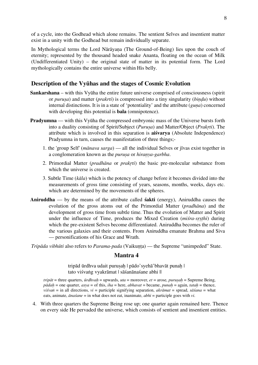of a cycle, into the Godhead which alone remains. The sentient Selves and insentient matter exist in a unity with the Godhead but remain individually separate.

In Mythological terms the Lord Nārāyaṇa (The Ground-of-Being) lies upon the couch of eternity; represented by the thousand headed snake Ananta, floating on the ocean of Milk (Undifferentiated Unity) – the original state of matter in its potential form. The Lord mythologically contains the entire universe within His belly.

## **Description of the Vyūhas and the stages of Cosmic Evolution**

- **Sankarshana** with this Vyūha the entire future universe comprised of consciousness (spirit or *puruṣa*) and matter (*prakrti*) is compressed into a tiny singularity (*biṇḍu*) without internal distinctions. It is in a state of 'potentiality' and the attribute (*guṇa*) concerned with developing this potential is **bala** (omnipotence).
- **Pradyumna** with this Vyūha the compressed embryonic mass of the Universe bursts forth into a duality consisting of Spirit/Subject (*Puruṣa*) and Matter/Object (*Prakṛti*). The attribute which is involved in this separation is **aiśvarya** (Absolute Independence) Pradyumna in turn, causes the manifestation of three things;-
	- 1. the 'group Self' (*mānava sarga*) all the individual Selves or jīvas exist together in a conglomeration known as the *puruṣa* or *hiraṇya-garbha*.
	- 2. Primordial Matter (*pradhāna* or *prakṛti*) the basic pre-molecular substance from which the universe is created.
	- 3. Subtle Time (*kāla*) which is the potency of change before it becomes divided into the measurements of gross time consisting of years, seasons, months, weeks, days etc. which are determined by the movements of the spheres.
- **Aniruddha** by the means of the attribute called **śakti** (energy), Aniruddha causes the evolution of the gross atoms out of the Primordial Matter (*pradhāna*) and the development of gross time from subtle time. Thus the evolution of Matter and Spirit under the influence of Time, produces the Mixed Creation (*miśra-sṛṣṭhi*) during which the pre-existent Selves become differentiated. Aniruddha becomes the ruler of the various galaxies and their contents. From Aniruddha emanate Brahma and Siva — personifications of his Grace and Wrath.

*Tripāda vibhūti* also refers to *Parama-pada* (Vaikunta) — the Supreme "unimpeded" State.

#### **Mantra 4**

tripād ūrdhva udait purusah | pādo'syehā'bhavāt punah | tato viśvaṅg vyakrāmat | sāśanānaśane abhi ||

*trip* $\bar{a}$  = three quarters,  $\bar{u}$ *rdhvah* = upwards,  $\bar{u}$  = moreover,  $\bar{e}$  = arose,  $\bar{p}$ *urusah* = Supreme Being, *pādaḥ* = one quarter, *asya* = of this, *iha* = here, *abhavat* = became, *punaḥ* = again, *tataḥ* = thence, *viśvaṅ* = in all directions, *vi* = participle signifying separation, *akrāmat* = spread, *sāśana* = what eats, animate, *ānaśane* = in what does not eat, inanimate, *abhi* = participle goes with *vi*.

4. With three quarters the Supreme Being rose up; one quarter again remained here. Thence on every side He pervaded the universe, which consists of sentient and insentient entities.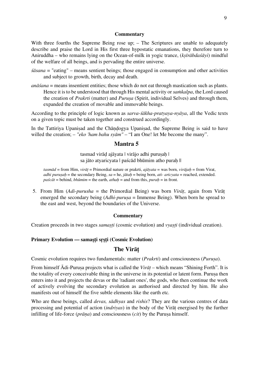#### **Commentary**

With three fourths the Supreme Being rose up; – The Scriptures are unable to adequately describe and praise the Lord in His first three hypostatic emanations, they therefore turn to Aniruddha – who remains lying on the Ocean-of-milk in yogic trance, (*kṣīrābdaśāyi*) mindful of the welfare of all beings, and is pervading the entire universe.

- *śāsana* = "eating" means sentient beings; those engaged in consumption and other activities and subject to growth, birth, decay and death.
- *anāśana* = means insentient entities; those which do not eat through mastication such as plants. Hence it is to be understood that through His mental activity or *saṁkalpa*, the Lord caused the creation of *Prakrti* (matter) and *Puruṣa* (Spirit, individual Selves) and through them, expanded the creation of movable and immovable beings.

According to the principle of logic known as *sarva-śākha-pratyaya-nyāya*, all the Vedic texts on a given topic must be taken together and construed accordingly.

In the Tattiriya Upanisad and the Chandogya Upanisad, the Supreme Being is said to have willed the creation; – *"eko 'ham bahu syām"* – "I am One! let Me become the many".

## **Mantra 5**

tasmad virād ajāyata | virājo adhi purusah | sa jāto atyaricyata | paścād bhūmim atho purah ||

*tasmād* = from Him, *virāṭ* = Primordial nature or prakrti, *ajāyata* = was born, *virājaḥ* = from Virat, *adhi puruṣaḥ* = the secondary Being, *sa* = he, *jātaḥ* = being born, *ati- aricyata* = reached, extended. *paścāt* = behind, *bhūmim* = the earth, *athaḥ* = and from this, *puraḥ* = in front.

5. From Him (*Adi-purusha* = the Primordial Being) was born *Virāṭ*, again from Virāṭ emerged the secondary being (*Adhi-puruṣa* = Immense Being). When born he spread to the east and west, beyond the boundaries of the Universe.

#### **Commentary**

Creation proceeds in two stages *samasti* (cosmic evolution) and *vyasti* (individual creation).

## **Primary Evolution — samaṣṭi sṛṣṭi (Cosmic Evolution)**

## **The Virāṭ**

Cosmic evolution requires two fundamentals: matter (*Prakrti*) and consciousness (*Puruṣa*).

From himself Ādi-Puruṣa projects what is called the *Virāṭ* – which means "Shining Forth". It is the totality of every conceivable thing in the universe in its potential or latent form. Puruṣa then enters into it and projects the devas or the 'radiant ones', the gods, who then continue the work of actively evolving the secondary evolution as authorised and directed by him. He also manifests out of himself the five subtle elements like the earth etc.

Who are these beings, called *devas, sādhyas* and *rishis*? They are the various centres of data processing and potential of action (*indriyas*) in the body of the Virāṭ energised by the further infilling of life-force (*prāna*) and consciousness (*cit*) by the Purusa himself.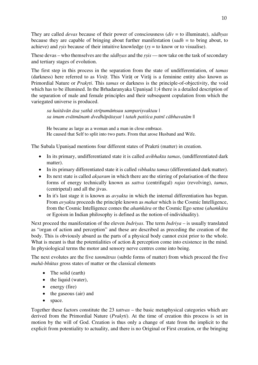They are called *devas* because of their power of consciousness (*div* = to illuminate), *sādhyas* because they are capable of bringing about further manifestation (*sadh* = to bring about, to achieve) and *ṛṣis* because of their intuitive knowledge (*ṛṣ* = to know or to visualise).

These devas – who themselves are the *sādhyas* and the *ṛṣis* — now take on the task of secondary and tertiary stages of evolution.

The first step in this process in the separation from the state of undifferentiation, of *tamas* (darkness) here referred to as *Virāṭ*. This Virāṭ or Virāj is a feminine entity also known as Primordial Nature or *Prakṛti*. This *tamas* or darkness is the principle-of-objectivity, the void which has to be illumined. In the Brhadaranyaka Upanisad 1;4 there is a detailed description of the separation of male and female principles and their subsequent copulation from which the variegated universe is produced.

*sa haitāvān āsa yathā strīpumāṁsau sampariṣvaktau | sa imam evātmānaṁ dvedhāpātayat | tatah patiśca patnī cābhavatām* ||

He became as large as a woman and a man in close embrace. He caused that Self to split into two parts. From that arose Husband and Wife.

The Subala Upaniṣad mentions four different states of Prakrti (matter) in creation.

- In its primary, undifferentiated state it is called *avibhakta tamas*, (undifferentiated dark matter).
- In its primary differentiated state it is called *vibhakta tamas* (differentiated dark matter).
- Its next state is called *aksaram* in which there are the stirring of polarisation of the three forms of energy technically known as *sattva* (centrifugal) *rajas* (revolving), *tamas*, (centripetal) and all the jivas.
- In it's last stage it is known as *avyakta* in which the internal differentiation has begun. From *avyakta* proceeds the principle known as *mahat* which is the Cosmic Intelligence, from the Cosmic Intelligence comes the *ahaṁkāra* or the Cosmic Ego sense (*ahaṁkāra* or Egoism in Indian philosophy is defined as the notion-of-individuality).

Next proceed the manifestation of the eleven *Indriyas*. The term *Indriya* – is usually translated as "organ of action and perception" and these are described as preceding the creation of the body. This is obviously absurd as the parts of a physical body cannot exist prior to the whole. What is meant is that the potentialities of action  $\&$  perception come into existence in the mind. In physiological terms the motor and sensory nerve centres come into being.

The next evolutes are the five *tanmātras* (subtle forms of matter) from which proceed the five *mahā-bhūtas* gross states of matter or the classical elements

- The solid (earth)
- the liquid (water),
- energy (fire)
- the gaseous (air) and
- space.

Together these factors constitute the 23 *tattvas* – the basic metaphysical categories which are derived from the Primordial Nature (*Prakṛti*). At the time of creation this process is set in motion by the will of God. Creation is thus only a change of state from the implicit to the explicit from potentiality to actuality, and there is no Original or First creation, or the bringing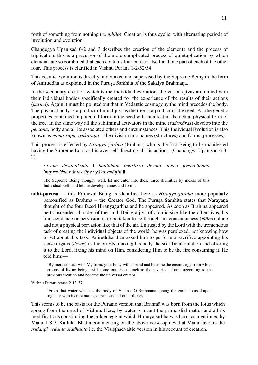forth of something from nothing (*ex nihilo*). Creation is thus cyclic, with alternating periods of involution and evolution.

Chāṇḍogya Upaniṣad 6-2 and 3 describes the creation of the elements and the process of triplication, this is a precursor of the more complicated process of quintuplication by which elements are so combined that each contains four parts of itself and one part of each of the other four. This process is clarified in Vishnu Purana 1-2-52/54.

This cosmic evolution is directly undertaken and supervised by the Supreme Being in the form of Aniruddha as explained in the Purusa Saṁhita of the Sakālya Brahmana.

In the secondary creation which is the individual evolution, the various jivas are united with their individual bodies specifically created for the experience of the results of their actions (*karma*). Again it must be pointed out that in Vedantic cosmogony the mind precedes the body. The physical body is a product of mind just as the tree is a product of the seed. All the genetic properties contained in potential form in the seed will manifest in the actual physical form of the tree. In the same way all the subliminal activators in the mind (*saṁskāras*) develop into the *persona*, body and all its associated others and circumstances. This Individual Evolution is also known as *nāma-rūpa-vyākaraṇa* – the division into names (structures) and forms (processes).

This process is effected by *Hiraṇya-garbha* (Brahmā) who is the first Being to be manifested having the Supreme Lord as his over-self directing all his actions. (Chāndogya Upanisad 6-3-2).

*so'yaṁ devataikṣata | hantāham imāstisro devatā anena jīvenā'tmanā 'nupraviśya nāma-rūpe vyākaravāṇīti* ||

The Supreme Being thought, well, let me enter into these three divinities by means of this Individual Self, and let me develop names and forms.

**adhi-purusa** — this Primeval Being is identified here as *Hiranya-garbha* more popularly personified as Brahmā – the Creator God. The Puruṣa Samhita states that Nārāyaṇa thought of the four faced Hiraṇyagarbha and he appeared. As soon as Brahmā appeared he transcended all sides of the land. Being a jiva of atomic size like the other jivas, his transcendence or pervasion is to be taken to be through his consciousness (*jñāna*) alone and not a physical pervasion like that of the air. Entrusted by the Lord with the tremendous task of creating the individual objects of the world, he was perplexed, not knowing how to set about this task. Aniruddha then asked him to perform a sacrifice appointing his sense organs (*devas*) as the priests, making his body the sacrificial oblation and offering it to the Lord, fixing his mind on Him, considering Him to be the fire consuming it. He told him;—

"By mere contact with My form, your body will expand and become the cosmic egg from which groups of living beings will come out. You attach to them various forms according to the previous creation and become the universal creator."

Vishnu Purana states 2-12-37:

"From that water which is the body of Vishnu, O Brahmana sprang the earth, lotus shaped, together with its mountains, oceans and all other things"

This seems to be the basis for the Puranic version that Brahmā was born from the lotus which sprang from the navel of Vishnu. Here, by water is meant the primordial matter and all its modifications constituting the golden egg in which Hiraṇyagarbha was born, as mentioned by Manu 1-8,9. Kulluka Bhatta commenting on the above verse opines that Manu favours the *tridaṇḍi vedānta siddhānta* i.e. the Visiṣṭhādvaitic version in his account of creation.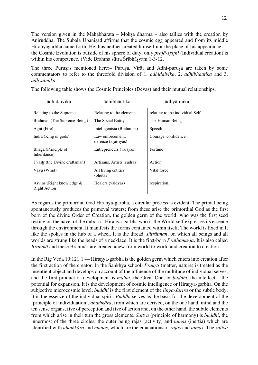The version given in the Māhābhārata – Mokṣa dharma – also tallies with the creation by Aniruddha. The Subala Upanisad affirms that the cosmic egg appeared and from its middle Hiranyagarbha came forth. He thus neither created himself nor the place of his appearance the Cosmic Evolution is outside of his sphere of duty, only *prajā-sṛṣṭhi* (Individual creation) is within his competence. (Vide Brahma sūtra Śrībhāsyam 1-3-12.

The three Puruṣas mentioned here;– Puruṣa, Virāṭ and Adhi-puruṣa are taken by some commentators to refer to the threefold division of 1. *adhidaivika*, 2. *adhibhautika* and 3. *ādhyātmika*.

| ādhidaivika                                        | ādhibhāutika                            | ādhyātmika                      |
|----------------------------------------------------|-----------------------------------------|---------------------------------|
| Relating to the Supreme.                           | Relating to the elements                | relating to the individual Self |
| Brahman (The Supreme Being)                        | The Social Entity                       | The Human Being                 |
| Agni (Fire)                                        | Intelligentsia (Brahmins)               | Speech                          |
| Indra (King of gods)                               | Law enforcement,<br>defence (ksatriyas) | Courage, confidence             |
| Bhaga (Principle of<br>Inheritance)                | Entrepreneurs (vaisyas)                 | Fortune                         |
| Tvastr (the Divine craftsman)                      | Artisans, Artists (sūdras)              | Action                          |
| Vāyu (Wind)                                        | All living entities<br>(bhūtas)         | Vital force                     |
| Aśvins (Right knowledge &<br><b>Right Action</b> ) | Healers (vaidyas)                       | respiration.                    |

The following table shows the Cosmic Principles (Devas) and their mutual relationships.

As regards the primordial God Hiraṇya-garbha, a circular process is evident. The primal being spontaneously produces the primeval waters; from these arise the primordial God as the first born of the divine Order of Creation, the golden germ of the world 'who was the first seed resting on the navel of the unborn.' Hiranya-garbha who is the World-self expresses its essence through the environment. It manifests the forms contained within itself. The world is fixed in It like the spokes in the hub of a wheel. It is the thread, *sūtrātman*, on which all beings and all worlds are strung like the beads of a necklace. It is the first-born *Prathama-jā*. It is also called *Brahmā* and these Brahmās are created anew from world to world and creation to creation.

In the Rig Veda 10:121:1 — Hiranya-garbha is the golden germ which enters into creation after the first action of the creator. In the Saṅkhya school, *Prakṛti* (matter, nature) is treated as the insentient object and develops on account of the influence of the multitude of individual selves, and the first product of development is *mahat*, the Great One, or *buddhi*, the intellect – the potential for expansion. It is the development of cosmic intelligence or Hiraṇya-garbha. On the subjective microcosmic level, *buddhi* is the first element of the *liṅga-śarīra* or the subtle body. It is the essence of the individual spirit. *Buddhi* serves as the basis for the development of the 'principle of individuation', *ahaṁkāra*, from which are derived, on the one hand, mind and the ten sense organs, five of perception and five of action and, on the other hand, the subtle elements from which arise in their turn the gross elements. *Sattva* (principle of harmony) is *buddhi*, the innermost of the three circles, the outer being rajas (activity) and *tamas* (inertia) which are identified with *ahaṁkāra* and *manas*, which are the emanations of *rajas* and *tamas*. The *sattva*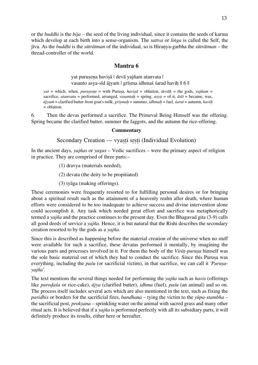or the *buddhi* is the *bija* – the seed of the living individual, since it contains the seeds of karma which develop at each birth into a sense-organism. The *sattva* or *liṅga* is called the Self, the jīva. As the *buddhi* is the *sūtrātman* of the individual, so is Hiraṇya-garbha the *sūtrātman* – the thread-controller of the world.

## **Mantra 6**

yat purusena havisā | devā yajñam atanvata | vasanto asya-sīd ājyam | grīsma idhmaś śarad havih || 6 ||

*yat* = which, when, *puruṣeṇa* = with Puruṣa, *haviṣā* = oblation, *devāḥ* = the gods, *yajñam* = sacrifice, *atanvata* = performed, arranged, *vasantaḥ* = spring, *asya* = of it, *āsīt* = became, was, *ājyaṁ* = clarified butter from goat's milk, *grīṣmaḥ* = summer, *idhmaḥ* = fuel, *śarat* = autumn, *haviḥ* = oblation.

6. Then the devas performed a sacrifice. The Primeval Being Himself was the offering. Spring became the clarified butter, summer the faggots, and the autumn the rice-offering.

#### **Commentary**

## Secondary Creation — vyaști srști (Individual Evolution)

In the ancient days, *yajñas* or *yagas* – Vedic sacrifices – were the primary aspect of religion in practice. They are comprised of three parts:–

(1) dravya (materials needed),

(2) devata (the deity to be propitiated)

(3) tyāga (making offerings).

These ceremonies were frequently resorted to for fulfilling personal desires or for bringing about a spiritual result such as the attainment of a heavenly realm after death, where human efforts were considered to be too inadequate to achieve success and divine intervention alone could accomplish it. Any task which needed great effort and sacrifice was metaphorically termed a *yajña* and the practice continues to the present day. Even the Bhagavad gita (3-9) calls all good deeds of service a *yajña*. Hence, it is but natural that the Rishi describes the secondary creation resorted to by the gods as a *yajña*.

Since this is described as happening before the material creation of the universe when no stuff were available for such a sacrifice, these devatas performed it mentally, by imagining the various parts and processes involved in it. For them the body of the *Virāṭ-puruṣa* himself was the sole basic material out of which they had to conduct the sacrifice. Since this Puruṣa was everything, including the *paśu* (or sacrificial victim), in that sacrifice, we can call it *'Puruṣayajña'*.

The text mentions the several things needed for performing the *yajña* such as *havis* (offerings like *puroḍaśa* or rice-cake), *ājya* (clarified butter), *idhma* (fuel), *paśu* (an animal) and so on. The process itself includes several acts which are also mentioned in the text, such as fixing the *paridhis* or borders for the sacrificial fires, *bandhana* – tying the victim to the *yūpa*-*stambha* – the sacrificial post, *prokṣana* – sprinkling water on the animal with sacred grass and many other ritual acts. It is believed that if a *yajña* is performed perfectly with all its subsidiary parts, it will definitely produce its results, either here or hereafter.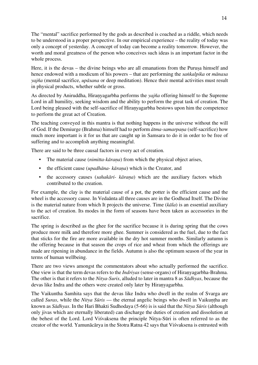The "mental" sacrifice performed by the gods as described is coached as a riddle, which needs to be understood in a proper perspective. In our empirical experience – the reality of today was only a concept of yesterday. A concept of today can become a reality tomorrow. However, the worth and moral greatness of the person who conceives such ideas is an important factor in the whole process.

Here, it is the devas – the divine beings who are all emanations from the Purusa himself and hence endowed with a modicum of his powers – that are performing the *saṅkalpika* or *mānasa yajña* (mental sacrifice, *upāsana* or deep meditation). Hence their mental activities must result in physical products, whether subtle or gross.

As directed by Aniruddha, Hiraṇyagarbha performs the *yajña* offering himself to the Supreme Lord in all humility, seeking wisdom and the ability to perform the great task of creation. The Lord being pleased with the self-sacrifice of Hiranyagarbha bestows upon him the competence to perform the great act of Creation.

The teaching conveyed in this mantra is that nothing happens in the universe without the will of God. If the Demiurge (Brahma) himself had to perform *ātma-samarpaṇa* (self-sacrifice) how much more important is it for us that are caught up in Samsara to do it in order to be free of suffering and to accomplish anything meaningful.

There are said to be three causal factors in every act of creation.

- The material cause (*nimitta-kāraṇa*) from which the physical object arises,
- the efficient cause (*upadhāna- kāraṇa*) which is the Creator, and
- the accessory causes (*sahakāri- kāraṇa*) which are the auxiliary factors which contributed to the creation.

For example, the clay is the material cause of a pot, the potter is the efficient cause and the wheel is the accessory cause. In Vedaānta all three causes are in the Godhead Itself. The Divine is the material nature from which It projects the universe. Time (*kāla*) is an essential auxiliary to the act of creation. Its modes in the form of seasons have been taken as accessories in the sacrifice.

The spring is described as the ghee for the sacrifice because it is during spring that the cows produce more milk and therefore more ghee. Summer is considered as the fuel, due to the fact that sticks for the fire are more available in the dry hot summer months. Similarly autumn is the offering because in that season the crops of rice and wheat from which the offerings are made are ripening in abundance in the fields. Autumn is also the optimum season of the year in terms of human wellbeing.

There are two views amongst the commentators about who actually performed the sacrifice. One view is that the term devas refers to the *Indriyas* (sense-organs) of Hiraṇyagarbha-Brahma. The other is that it refers to the *Nitya-Suris*, alluded to later in mantra 8 as *Sādhyas*, because the devas like Indra and the others were created only later by Hiraṇyagarbha.

The Vaikuntha Samhita says that the devas like Indra who dwell in the realm of Svarga are called *Suras*, while the *Nitya Sūris* — the eternal angelic beings who dwell in Vaikuntha are known as *Sādhyas*. In the Hari Bhakti Sudhodaya (5-66) is is said that the *Nitya Sūris* (although only jivas which are eternally liberated) can discharge the duties of creation and dissolution at the behest of the Lord. Lord Viśvaksena the principle Nitya-Sūri is often referred to as the creator of the world. Yamunācārya in the Stotra Ratna 42 says that Viśvaksena is entrusted with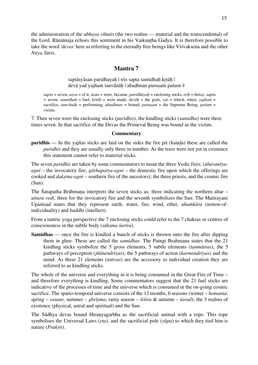the administration of the *ubhaya vibutis* (the two realms — material and the transcendental) of the Lord. Rāmānuja echoes this sentiment in his Vaikuntha Gadya. It is therefore possible to take the word *'devas'* here as referring to the eternally free beings like Viśvaksena and the other *Nitya Sūris*.

## **Mantra 7**

saptāsyāsan paridhayah | tris sapta samidhah krtāh | devā yad yajñaṁ tanvānāḥ | abadhnan puruṣaṁ paśum ||

*sapta* = seven, *asya* = of it, *āsan* = were, became, *paridhāyaḥ* = enclosing sticks, *triḥ* = thrice, *sapta*  $=$  seven, *samidhah*  $=$  fuel, *krtāh*  $=$  were made, *devāh*  $=$  the gods, *yat*  $=$  which, when, *yajñam*  $=$ sacrifice, *tanvānāḥ* = performing, *abadhnan* = bound, *puruṣaṁ* = the Supreme Being, *paśum* = victim.

7. Then seven were the enclosing sticks (*paridhis*), the kindling sticks (*samidha*) were three times seven. In that sacrifice of the Devas the Primeval Being was bound as the victim.

#### **Commentary**

**paridhis** — In the yajñas sticks are laid on the sides the fire pit (kunda) these are called the *paridhis* and they are usually only three in number. As the trees were not yet in existence this statement cannot refer to material sticks.

The seven *paridhis* are taken by some commentators to mean the three Vedic fires; (*āhavanīyaagni* – the invocatory fire, *gārhapatya-agni* – the domestic fire upon which the offerings are cooked and *dakṣina-agni* – southern fire of the ancestors); the three priests, and the cosmic fire (Sun).

The Śatapatha Brāhmaṇa interprets the seven sticks as; three indicating the northern altar – *uttara vedi*, three for the invocatory fire and the seventh symbolizes the Sun. The Maitrayani Upaniṣad states that they represent earth, water, fire, wind, ether, *ahaṁkāra* (notion-ofindividuality) and *buddhi* (intellect).

From a tantric yoga perspective the 7 enclosing sticks could refer to the 7 chakras or centres of consciousness in the subtle body (*sūkṣma śarīra*).

**Samidhas** — once the fire is kindled a bunch of sticks is thrown onto the fire after dipping them in ghee. These are called the *samidhas*. The Paingi Brahmana states that the 21 kindling sticks symbolize the 5 gross elements, 5 subtle elements (*tanmātras*), the 5 pathways of perception (*jñānendriyas*), the 5 pathways of action (*karmendriyas*) and the mind. As these 21 elements (*tattvas*) are the accessory to individual creation they are referred to as kindling sticks.

The whole of the universe and everything in it is being consumed in the Great Fire of Time – and therefore everything is kindling. Some commentators suggest that the 21 fuel sticks are indicative of the processes of time and the universe which is consumed in the on-going cosmic sacrifice. The spatio-temporal universe consists of the 12 months, 6 seasons (winter – *hemanta*; spring – *vasant*, summer – *ghrīṣma*; rainy season – *śiśira* & autumn – *śarad*); the 3 realms of existence (physical, astral and spiritual) and the Sun.

The Sādhya devas bound Hiraṇyagarbha as the sacrificial animal with a rope. This rope symbolises the Universal Laws (*ṛta*), and the sacrificial pole (*yūpa*) to which they tied him is nature (*Prakṛti*).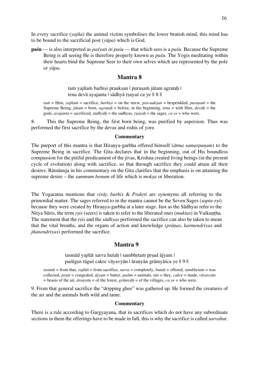In every sacrifice (*yajña*) the animal victim symbolises the lower brutish mind, this mind has to be bound to the sacrificial post (*yūpa*) which is God.

**paśu** — is also interpreted as *paśyati iti paśu* — that which sees is a *paśu*. Because the Supreme Being is all seeing He is therefore properly known as *paśu*. The Yogis meditating within their hearts bind the Supreme Seer to their own selves which are represented by the pole or *yūpa*.

## **Mantra 8**

tam yajñam barhisi prauksan | purusam jātam agratah | tena devā ayajanta | sādhyā rsayaś ca ye || 8 ||

*taṁ* = Him, *yajñaṁ* = sacrifice, *barhiṣi* = on the strew, *pra-aukṣan* = besprinkled, *puruṣaṁ* = the Supreme Being, *jātam* = born, *agrataḥ* = before, in the beginning, *tena* = with Him, *devāḥ* = the gods, *ayajanta* = sacrificed, *sādhyāḥ* = the sadhyas, *ṛṣayaḥ* = the sages, *ca ye* = who were.

8. This the Supreme Being, the first born being, was purified by aspersion. Thus was performed the first sacrifice by the devas and rishis of yore.

#### **Commentary**

The purport of this mantra is that Hiraṇya-garbha offered himself (*ātma samarpaṇam*) to the Supreme Being in sacrifice. The Gita declares that in the beginning, out of His boundless compassion for the pitiful predicament of the jivas, Krishna created living beings (in the present cycle of evolution) along with sacrifice, so that through sacrifice they could attain all their desires. Rāmānuja in his commentary on the Gita clarifies that the emphasis is on attaining the supreme desire – the *summum bonum* of life which is *mokṣa* or liberation.

The Yogaratna mentions that *virāṭ*, *barhis* & *Prakṛti* are synonyms all referring to the primordial matter. The sages referred to in the mantra cannot be the Seven Sages (*sapta*-*ṛṣi*) because they were created by Hiraṇya-garbha at a later stage. Just as the Sādhyas refer to the Nitya Sūris, the term *rsis* (seers) is taken to refer to the liberated ones (*muktas*) in Vaikuntha. The statement that the *ṛṣis* and the *sādhyas* performed the sacrifice can also be taken to mean that the vital breaths, and the organs of action and knowledge (*prāṇas*, *karmendriyas* and *jñanendriyas*) performed the sacrifice.

## **Mantra 9**

tasmād yajñāt sarva hutah | sambhrtam prsad ājyam | paśūgus tāguś cakre vāyavyān | āraṇyān grāmyāśca ye || 9 ||

*tasmāt* = from that, *yajñāt* = from sacrifice, *sarva* = completely, *hutaḥ* = offered, *sambhṛtaṁ* = was collected, *prsat* = congealed,  $\vec{a}$ *jyam* = butter,  $\vec{p}$ *as* $\vec{a}$ *n* = animals,  $\vec{a}$ *n* = they,  $\vec{c}$ *cakre* = made,  $\vec{v}$ *avavy* $\vec{a}$ *n*  $=$  beasts of the air,  $\bar{a}$ *ran* $\bar{y}$ *ān*  $=$  of the forest,  $\bar{g}$ *rām* $\bar{y}$ *āh*  $=$  of the villages, *ca*  $\bar{y}$ *e*  $=$  who were.

9. From that general sacrifice the "dripping ghee" was gathered up. He formed the creatures of the air and the animals both wild and tame.

#### **Commentary**

There is a rule according to Gargyayana, that in sacrifices which do not have any subordinate sections in them the offerings have to be made in full, this is why the sacrifice is called *sarvahut*.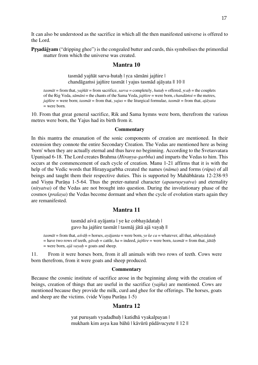It can also be understood as the sacrifice in which all the then manifested universe is offered to the Lord.

**Pṛṣadājyam** ("dripping ghee") is the congealed butter and curds, this symbolises the primordial matter from which the universe was created.

#### **Mantra 10**

tasmād yajñāt sarva-hutah | rca sāmāni jajñire | chandāgaṁsi jajñire tasmāt | yajus tasmād ajāyata || 10 ||

*tasmāt* = from that, *yajñāt* = from sacrifice, *sarva* = completely, *hutaḥ* = offered, *ṛcaḥ* = the couplets of the Rig Veda, *sāmāni* = the chants of the Sama Veda, *jajñire* = were born, *chandāṁsi* = the metres, *jajñire* = were born; *tasmāt* = from that, *yajus* = the liturgical formulae, *tasmāt* = from that, *ajāyata*  $=$  were born.

10. From that great general sacrifice, Rik and Sama hymns were born, therefrom the various metres were born, the Yajus had its birth from it.

#### **Commentary**

In this mantra the emanation of the sonic components of creation are mentioned. In their extension they connote the entire Secondary Creation. The Vedas are mentioned here as being 'born' when they are actually eternal and thus have no beginning. According to the Svetasvatara Upaniṣad 6-18. The Lord creates Brahma (*Hiraṇya-garbha*) and imparts the Vedas to him. This occurs at the commencement of each cycle of creation. Manu 1-21 affirms that it is with the help of the Vedic words that Hiraṇyagarbha created the names (*nāma*) and forms (*rūpa*) of all beings and taught them their respective duties. This is supported by Mahābhārata 12-238-93 and Viṣṇu Purāṇa 1-5-64. Thus the preter-natural character (*apauruṣeyatva*) and eternality (*nityatva*) of the Vedas are not brought into question. During the involutionary phase of the cosmos (*pralaya*) the Vedas become dormant and when the cycle of evolution starts again they are remanifested.

#### **Mantra 11**

tasmād aśvā ayājanta | ye ke cobhayādataḥ | gavo ha jajñire tasmāt | tasmāj jātā ajā vayaḥ ||

*tasmāt* = from that, *aśvāḥ* = horses, *ayājanta* = were born, *ye ke ca* = whatever, all that, *ubhayādataḥ* = have two rows of teeth, *gāvaḥ* = cattle, *ha* = indeed, *jajñire* = were born, *tasmāt* = from that, *jātāḥ*  $=$  were born, *ajā vayah* = goats and sheep.

11. From it were horses born, from it all animals with two rows of teeth. Cows were born therefrom, from it were goats and sheep produced.

#### **Commentary**

Because the cosmic institute of sacrifice arose in the beginning along with the creation of beings, creation of things that are useful in the sacrifice (*yajña*) are mentioned. Cows are mentioned because they provide the milk, curd and ghee for the offerings. The horses, goats and sheep are the victims. (vide Viṣṇu Purāṇa 1-5)

## **Mantra 12**

yat purusam vyadadhuh | katidhā vyakalpayan | mukhaṁ kim asya kau bāhū | kāvūrū pādāvucyete || 12 ||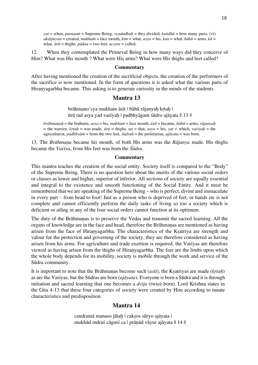*yat* = when, *puruṣaṁ* = Supreme Being, *vyadadhuḥ* = they divided, *katidhā* = how many parts, (vi)  $a$ *kalpayan* = created,  $mukhan$  = face mouth,  $kim$  = what,  $asya$  = his,  $kau$  = what,  $b\bar{a}h\bar{u}$  = arms,  $k\bar{a}$  = what, *ūrū* = thighs, *pādau* = two feet, *ucyete* = called.

12. When they contemplated the Primeval Being in how many ways did they conceive of Him? What was His mouth ? What were His arms? What were His thighs and feet called?

#### **Commentary**

After having mentioned the creation of the sacrificial objects, the creation of the performers of the sacrifice is now mentioned. In the form of questions it is asked what the various parts of Hiraṇyagarbha became. This asking is to generate curiosity in the minds of the students.

## **Mantra 13**

brāhmano'sya mukham āsīt | bāhū rājanyaḥ kṛtaḥ | ūrū tad asya yad vaiśyaḥ | padbhyāgaṁ śūdro ajāyata || 13 ||

*brāhmanah* = the brahmin, *asya* = his, *mukham* = face mouth,  $\bar{a}s\bar{t}t$  = became,  $b\bar{a}h\bar{u}$  = arms, *rājanyah*  $\bar{f}$  = the warrior, *krtah* = was made,  $\bar{u}r\bar{u}$  = thighs,  $\bar{t}at$  = that,  $\bar{a}s\bar{y}a$  = his,  $\bar{y}at$  = which,  $\bar{y}a\bar{y}ah$  = the agriculturist, *padbhyāṁ* = from the two feet, *śūdraḥ* = the proletarian, *ajāyata* = was born.

13. The *Brāhmaṇa* became his mouth, of both His arms was the *Rājanya* made. His thighs became the *Vaiśya*, from His feet was born the *Śūdra*.

#### **Commentary**

This mantra teaches the creation of the social entity. Society itself is compared to the "Body" of the Supreme Being. There is no question here about the merits of the various social orders or classes as lower and higher, superior of inferior. All sections of society are equally essential and integral to the existence and smooth functioning of the Social Entity. And it must be remembered that we are speaking of the Supreme Being – who is perfect, divine and immaculate in every part – from head to foot! Just as a person who is deprived of feet, or hands etc is not complete and cannot efficiently perform the daily tasks of living so too a society which is deficient or ailing in any of the four social orders cannot function at its optimum.

The duty of the Brāhmaṇas is to preserve the Vedas and transmit the sacred learning. All the organs of knowledge are in the face and head, therefore the Brāhmaṇas are mentioned as having arisen from the face of Hiraṇyagarbha. The characteristics of the Kṣatriya are strength and valour for the protection and governing of the society, they are therefore considered as having arisen from his arms. For agriculture and trade exertion is required, the Vaiśyas are therefore viewed as having arisen from the thighs of Hiraṇyagarbha. The feet are the limbs upon which the whole body depends for its mobility, society is mobile through the work and service of the Sūdra community.

It is important to note that the Brāhmaṇas become such (*asīt*), the Kṣatriyas are made (*kṛtaḥ*) as are the Vaiśyas, but the Sūdras are born (*ajāyata*). Everyone is born a Sūdra and it is through initiation and sacred learning that one becomes a *dvija* (twice-born). Lord Krishna states in the Gita 4-13 that these four categories of society were created by Him according to innate characteristics and predisposition.

#### **Mantra 14**

candramā manaso jātaḥ | cakṣos sūryo ajāyata | mukhād indraś cāgniś ca | prāṇād vāyur ajāyata || 14 ||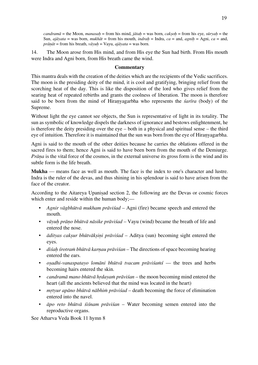*candramā* = the Moon, *manasaḥ* = from his mind, *jātaḥ* = was born, *cakṣoḥ* = from his eye, *sūryaḥ* = the Sun,  $a_j\bar{a}_y$  *at* = was born, *mukhāt* = from his mouth, *indrah* = Indra, *ca* = and, *agnih* = Agni, *ca* = and, *prāṇāt* = from his breath, *vāyuḥ* = Vayu, *ajāyata* = was born.

14. The Moon arose from His mind, and from His eye the Sun had birth. From His mouth were Indra and Agni born, from His breath came the wind.

#### **Commentary**

This mantra deals with the creation of the deities which are the recipients of the Vedic sacrifices. The moon is the presiding deity of the mind, it is cool and gratifying, bringing relief from the scorching heat of the day. This is like the disposition of the lord who gives relief from the searing heat of repeated rebirths and grants the coolness of liberation. The moon is therefore said to be born from the mind of Hiraṇyagarbha who represents the *śarīra* (body) of the Supreme.

Without light the eye cannot see objects, the Sun is representative of light in its totality. The sun as symbolic of knowledge dispels the darkness of ignorance and bestows enlightenment, he is therefore the deity presiding over the eye – both in a physical and spiritual sense – the third eye of intuition. Therefore it is maintained that the sun was born from the eye of Hiraṇyagarbha.

Agni is said to the mouth of the other deities because he carries the oblations offered in the sacred fires to them; hence Agni is said to have been born from the mouth of the Demiurge. *Prāṇa* is the vital force of the cosmos, in the external universe its gross form is the wind and its subtle form is the life breath.

**Mukha** — means face as well as mouth. The face is the index to one's character and lustre. Indra is the ruler of the devas, and thus shining in his splendour is said to have arisen from the face of the creator.

According to the Aitareya Upanisad section 2, the following are the Devas or cosmic forces which enter and reside within the human body;—

- *Agnir vāgbhūtvā mukham prāviśad* Agni (fire) became speech and entered the mouth.
- *vāyuḥ prāṇo bhūtvā nāsike prāviśad* Vayu (wind) became the breath of life and entered the nose.
- *ādityas cakṣur bhūtvākṣiṇi prāviśad* Aditya (sun) becoming sight entered the eyes.
- *diśaḥ śrotraṁ bhūtvā karṇau prāviśan* The directions of space becoming hearing entered the ears.
- *oṣadhi-vanaspatayo lomāni bhūtvā tvacam prāviśaṁś* the trees and herbs becoming hairs entered the skin.
- *candramā mano bhūtvā hṛdayaṁ prāviśan* the moon becoming mind entered the heart (all the ancients believed that the mind was located in the heart)
- *mṛtyur apāno bhūtvā nābhiṁ prāviśad* death becoming the force of elimination entered into the navel.
- *āpo reto bhūtvā śiśnam prāviśan* Water becoming semen entered into the reproductive organs.

See Atharva Veda Book 11 hymn 8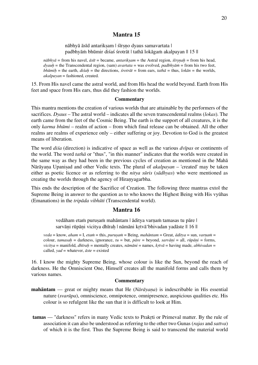## **Mantra 15**

nābhyā āsīd antariksam | śīrsno dyaus samavartata | padbhyāṁ bhūmir diśaś śrotrāt | tathā lokāgaṁ akalpayan || 15 ||

 $n\bar{a}bhy\bar{a}$  = from his navel,  $\bar{a}s\bar{t}$  = became, *antariksam* = the Astral region,  $\bar{s}$ *irsnah* = from his head, *dyauḥ* = the Transcendental region, (sam) *avartata* = was evolved, *padbhyāṁ* = from his two feet, *bh* $\bar{x}$ *mih* = the earth, *disah* = the directions, *śrotrāt* = from ears, *tatha* = thus, *lokan* = the worlds, *akalpayan* = fashioned, created.

15. From His navel came the astral world, and from His head the world beyond. Earth from His feet and space from His ears, thus did they fashion the worlds.

#### **Commentary**

This mantra mentions the creation of various worlds that are attainable by the performers of the sacrifices. *Dyaus* – The astral world – indicates all the seven transcendental realms (*lokas*). The earth came from the feet of the Cosmic Being. The earth is the support of all creatures, it is the only *karma bhūmi* – realm of action – from which final release can be obtained. All the other realms are realms of experience only – either suffering or joy. Devotion to God is the greatest means of liberation.

The word *diśa* (direction) is indicative of space as well as the various *dvīpas* or continents of the world. The word *tathā* or "thus", "in this manner" indicates that the worlds were created in the same way as they had been in the previous cycles of creation as mentioned in the Mahā Nārāyaṇa Upaniṣad and other Vedic texts. The plural of *akalpayan* – 'created' may be taken either as poetic licence or as referring to the *nitya sūris* (*sādhyas*) who were mentioned as creating the worlds through the agency of Hiraṇyagarbha.

This ends the description of the Sacrifice of Creation. The following three mantras extol the Supreme Being in answer to the question as to who knows the Highest Being with His vyūhas (Emanations) in the *tripāda vibhūti* (Transcendental world).

## **Mantra 16**

vedāham etam purusam mahāntam | āditya varnam tamasas tu pāre | sarvāni rūpāni vicitya dhīrah | nāmāni krtvā 'bhivadan yadāste || 16 ||

 $veda =$ know,  $aham = I$ ,  $etam =$ this,  $purusam =$ Being,  $mah<sub>an</sub> =$ Great,  $\overline{a}diiv =$ sun,  $varan =$ colour, *tamasaḥ* = darkness, ignorance, *tu* = but, *pāre* = beyond, *sarvāṇi* = all, *rūpāṇi* = forms, *vicitya* = manifold, *dhīraḥ* = mentally creates, *nāmāni* = names, *kṛtvā* = having made, *abhivadan* = called, *yad* = whatever, *āste* = existed

16. I know the mighty Supreme Being, whose colour is like the Sun, beyond the reach of darkness. He the Omniscient One, Himself creates all the manifold forms and calls them by various names.

#### **Commentary**

- **mahāntam** great or mighty means that He (*Nārāyaṇa*) is indescribable in His essential nature (*svarūpa*), omniscience, omnipotence, omnipresence, auspicious qualities etc. His colour is so refulgent like the sun that it is difficult to look at Him.
- **tamas** "darkness" refers in many Vedic texts to Prakṛti or Primeval matter. By the rule of association it can also be understood as referring to the other two Gunas (*rajas* and *sattva*) of which it is the first. Thus the Supreme Being is said to transcend the material world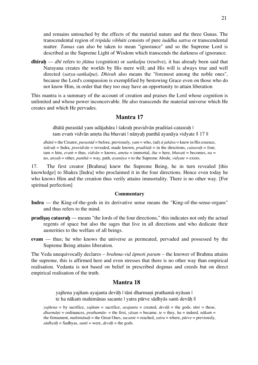and remains untouched by the effects of the material nature and the three Gunas. The transcendental region of *tripāda vibhūti* consists of pure *śuddha sattva* or transcendental matter. *Tamas* can also be taken to mean "ignorance" and so the Supreme Lord is described as the Supreme Light of Wisdom which transcends the darkness of ignorance.

**dhīraḥ** — *dhī* refers to *jñāna* (cognition) or *saṅkalpa* (resolve), it has already been said that Narayana creates the worlds by His mere will; and His will is always true and well directed (*satya-saṅkalpa*). *Dhirah* also means the "foremost among the noble ones", because the Lord's compassion is exemplified by bestowing Grace even on those who do not know Him, in order that they too may have an opportunity to attain liberation

This mantra is a summary of the account of creation and praises the Lord whose cognition is unlimited and whose power inconceivable. He also transcends the material universe which He creates and which He pervades.

## **Mantra 17**

dhātā purastād yam udājahāra | śakrah pravidvān pradiśaś-catasrah | tam evam vidvān amrta iha bhavati | nānyah panthā ayanāya vidyate || 17 ||

*dhātā* = the Creator, *purastād* = before, previously, *yam* = who, (ud) *ā jahāra* = knew in His essence, *śakraḥ* = Indra, *pravidvān* = revealed, made known, *pradiśaḥ* = in the directions, *catasraḥ* = four, tam = him, *evaṁ* = thus, *vidvān* = knows, *amṛta* = immortal, *iha* = here, *bhavati* = becomes, *na* = no, *anyaḥ* = other, *panthā* = way, path, *ayanāya* = to the Supreme Abode, *vidyate* = exists.

17. The first creator [Brahma] knew the Supreme Being, he in turn revealed [this knowledge] to Shakra [Indra] who proclaimed it in the four directions. Hence even today he who knows Him and the creation thus verily attains immortality. There is no other way. [For spiritual perfection]

#### **Commentary**

- **Indra** the King-of-the-gods in its derivative sense means the "King-of-the-sense-organs" and thus refers to the mind.
- **pradisas catasrah** means "the lords of the four directions," this indicates not only the actual regents of space but also the sages that live in all directions and who dedicate their austerities to the welfare of all beings.
- **evam** thus; he who knows the universe as permeated, pervaded and possessed by the Supreme Being attains liberation.

The Veda unequivocally declares – *brahma-vid āpnoti param* – the knower of Brahma attains the supreme, this is affirmed here and even stresses that there is no other way than empirical realisation. Vedanta is not based on belief in prescribed dogmas and creeds but on direct empirical realisation of the truth.

## **Mantra 18**

yajñena yajñam ayajanta devāḥ | tāni dharmaṇi prathamā-nyāsan | te ha nākaṁ mahimānas sacante | yatra pūrve sādhyās santi devāḥ ||

*yajñena* = by sacrifice, *yajñam* = sacrifice, *ayajanta* = created, *devāḥ* = the gods, *tāni* = these, *dharmāni* = ordinances, *prathamān*- = the first, *yāsan* = became, *te* = they, *ha* = indeed, *nākam* = the firmament, *mahimānah* = the Great Ones, *sacante* = reached, *yatra* = where,  $p\bar{u}rve$  = previously, *sādhyāḥ* = Sadhyas, *santi* = were, *devāḥ* = the gods.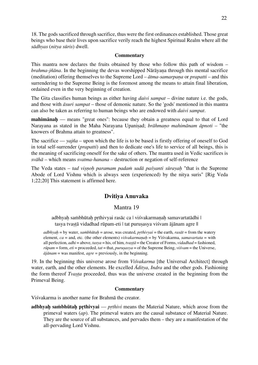18. The godssacrificed through sacrifice, thus were the first ordinances established. Those great beings who base their lives upon sacrifice verily reach the highest Spiritual Realm where all the *sādhyas* (*nitya sūris*) dwell.

#### **Commentary**

This mantra now declares the fruits obtained by those who follow this path of wisdom – *brahma-jñāna*. In the beginning the devas worshipped Nārāyaṇa through this mental sacrifice (meditation) offering themselves to the Supreme Lord – *ātma-samarpaṇa* or *prapatti* – and this surrendering to the Supreme Being is the foremost among the means to attain final liberation, ordained even in the very beginning of creation.

The Gita classifies human beings as either having *daivi sampat* – divine nature i.e. the gods, and those with *āsuri sampat* – those of demonic nature. So the 'gods' mentioned in this mantra can also be taken as referring to human beings who are endowed with *daivi sampat*.

**mahimānaḥ** — means "great ones": because they obtain a greatness equal to that of Lord Narayana as stated in the Maha Narayana Upaniṣad; *brāhmaṇo mahimānam āpnoti* – "the knowers of Brahma attain to greatness".

The sacrifice — *yajña* – upon which the life is to be based is firstly offering of oneself to God in total self-surrender (*prapatti*) and then to dedicate one's life to service of all beings, this is the meaning of sacrificing oneself for the sake of others. The mantra used in Vedic sacrifices is *svāhā* – which means *svatma-hanana* – destruction or negation of self-reference

The Veda states – *tad viṣṇoḥ paramam padaṁ sadā paśyanti sūrayaḥ* "that is the Supreme Abode of Lord Vishnu which is always seen (experienced) by the nitya suris" [Rig Veda 1;22;20] This statement is affirmed here.

## **Dvitiya Anuvaka**

## Mantra 19

adbhyah saṁbhūtah prthivyai rasāc ca | viśvakarmanah samavartatādhi | tasya tvastā vidadhad rūpam-eti | tat purusasya viśvam ājānam agre ||

 $adbhvah =$  by water, *sambhūtah* = arose, was created, *prthivyai* = the earth, *rasāt* = from the watery element, *ca* = and, etc. (the other elements) *viśvakarmaṇaḥ* = by Viśvakarma, *samavartata* = with all perfection, *adhi* = above, *tasya* = his, of him, *tvaṣṭā* = the Creator of Forms, *vidadhad* = fashioned, *rūpam* = form, *eti* = proceeded, *tat* = that, *puruṣasya* = of the Supreme Being, *viśvam* = the Universe, *ājānam* = was manifest, *agre* = previously, in the beginning.

19. In the beginning this universe arose from *Viśvakarma* [the Universal Architect] through water, earth, and the other elements. He excelled *Āditya*, *Indra* and the other gods. Fashioning the form thereof *Tvasta* proceeded, thus was the universe created in the beginning from the Primeval Being.

#### **Commentary**

Viśvakarma is another name for Brahmā the creator.

**adbhyaḥ saṁbhūtaḥ pṛthivyai** — *pṛthivi* means the Material Nature, which arose from the primeval waters (*ap*). The primeval waters are the causal substance of Material Nature. They are the source of all substances, and pervades them – they are a manifestation of the all-pervading Lord Vishnu.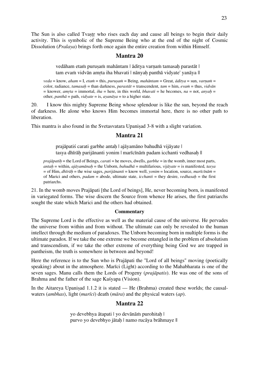The Sun is also called Tvastr who rises each day and cause all beings to begin their daily activity. This is symbolic of the Supreme Being who at the end of the night of Cosmic Dissolution (*Pralaya*) brings forth once again the entire creation from within Himself.

## **Mantra 20**

vedāham etam purusam mahāntam | āditya varnam tamasah parastāt | tam evam vidvān amrta iha bhavati | nānyah panthā vidyate' yanāya ||

*veda* = know, *aham* = I, *etaṁ* = this, *puruṣaṁ* = Being, *mahāntam* = Great, *āditya* = sun, *varṇaṁ* = color, radiance, *tamasaḥ* = than darkness, *parastāt* = transcendent, *tam* = him, *evaṁ* = thus, *vidvān*  $=$  knower, *amrta* = immortal, *iha* = here, in this world, *bhavati* = he becomes, *na* = not, *anyah* = other, *panthā* = path, *vidyate* = is, *ayanāya* = to a higher state.

20. I know this mighty Supreme Being whose splendour is like the sun, beyond the reach of darkness. He alone who knows Him becomes immortal here, there is no other path to liberation.

This mantra is also found in the Svetasvatara Upaniṣad 3-8 with a slight variation.

## **Mantra 21**

prajāpatiś carati garbhe antah | ajāyamāno bahudhā vijāyate | tasya dhīrāh parijānanti yonim | marīcīnām padam icchanti vedhasah ||

*prajāpatiḥ* = the Lord of Beings, *carati* = he moves, dwells, *garbhe* = in the womb, inner most parts, *antaḥ* = within, *ajāyamānaḥ* = the Unborn, *bahudhā* = multifarious, *vijāyate* = is manifested, *tasya* = of Him, *dhīrāḥ* = the wise sages, *parijānanti* = know well, *yonim* = location, source, *marīcīnāṁ* = of Marici and others, *padam* = abode, ultimate state, *icchanti* = they desire, *vedhasaḥ* = the first patriarchs.

21. In the womb moves Prajāpati [the Lord of beings], He, never becoming born, is manifested in variegated forms. The wise discern the Source from whence He arises, the first patriarchs sought the state which Marici and the others had obtained.

#### **Commentary**

The Supreme Lord is the effective as well as the material cause of the universe. He pervades the universe from within and from without. The ultimate can only be revealed to the human intellect through the medium of paradoxes. The Unborn becoming born in multiple forms is the ultimate paradox. If we take the one extreme we become entangled in the problem of absolutism and transcendism, if we take the other extreme of everything being God we are trapped in pantheism, the truth is somewhere in between and beyond!

Here the reference is to the Sun who is Prajāpati the "Lord of all beings" moving (poetically speaking) about in the atmosphere. Marīci (Light) according to the Mahabharata is one of the seven sages. Manu calls them the Lords of Progeny (*prajāpatis*). He was one of the sons of Brahma and the father of the sage Kaśyapa (Vision).

In the Aitareya Upanisad 1.1.2 it is stated — He (Brahma) created these worlds; the causalwaters (*ambhas*), light (*marīci*) death (*māra*) and the physical waters (*ap*).

## **Mantra 22**

yo devebhya ātapati | yo devānām purohitah | purvo yo devebhyo jātaḥ | namo rucāya brāhmaye ||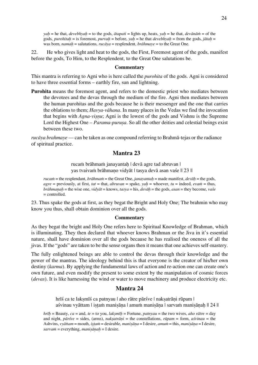*yaḥ* = he that, *devebhyaḥ* = to the gods, *ātapati* = lights up, heats, *yaḥ* = he that, *devānāṁ* = of the gods, *purohitah* = is foremost, *purvah* = before, *yah* = he that *devebhyah* = from the gods, *jātah* = was born, *namaḥ* = salutations, *rucāya* = resplendent, *brāhmaye* = to the Great One.

22. He who gives light and heat to the gods, the First, Foremost agent of the gods, manifest before the gods, To Him, to the Resplendent, to the Great One salutations be.

#### **Commentary**

This mantra is referring to Agni who is here called the *purohita* of the gods. Agni is considered to have three essential forms – earthly fire, sun and lightning.

**Purohita** means the foremost agent, and refers to the domestic priest who mediates between the devotees and the devas through the medium of the fire. Agni then mediates between the human purohitas and the gods because he is their messenger and the one that carries the oblations to them; *Havya-vāhana*. In many places in the Vedas we find the invocation that begins with *Agna-visnu*; Agni is the lowest of the gods and Vishnu is the Supreme Lord the Highest One – *Parama-purusa*. So all the other deities and celestial beings exist between these two.

*rucāya brahmaye* — can be taken as one compound referring to Brahmā-tejas or the radiance of spiritual practice.

#### **Mantra 23**

rucaṁ brāhmaṁ janayantaḥ | devā agre tad abruvan | yas tvaivaṁ brāhmaṇo vidyāt | tasya devā asan vaśe || 23 ||

*rucaṁ* = the resplendant, *brāhmaṁ* = the Great One, *janayantaḥ* = made manifest, *devāḥ* = the gods,  $\angle \textit{agree} = \text{previously}, \text{ at first, } \textit{tat} = \text{that}, \textit{abruvan} = \text{spake}, \textit{vah} = \text{whoever}, \textit{tu} = \text{indeed}, \textit{evain} = \text{thus}, \text{at first, } \textit{tah} = \text{that}, \textit{abruvan} = \text{spake}, \textit{vah} = \text{whoever}, \textit{tu} = \text{indeed}, \textit{evain} = \text{thus}, \text{at second, } \textit{tah} = \text{tria}, \text{at second, } \textit{tah} = \text{tria}, \text{at second, } \textit{t$ *br* $\bar{a}$ *hmanah* = the wise one, *vidy* $\bar{a}t$  = knows, *tasya* = his, *dev* $\bar{a}h$  = the gods, *asan* = they become, *vase*  $=$  controlled.

23. Thus spake the gods at first, as they begat the Bright and Holy One; The brahmin who may know you thus, shall obtain dominion over all the gods.

#### **Commentary**

As they begat the bright and Holy One refers here to Spiritual Knowledge of Brahman, which is illuminating. They then declared that whoever knows Brahman or the Jiva in it's essential nature, shall have dominion over all the gods because he has realised the oneness of all the jivas. If the "gods" are taken to be the sense organs then it means that one achieves self-mastery.

The fully enlightened beings are able to control the devas through their knowledge and the power of the mantras. The ideology behind this is that everyone is the creator of his/her own destiny (*karma*). By applying the fundamental laws of action and re-action one can create one's own future, and even modify the present to some extent by the manipulation of cosmic forces (*devas*). It is like harnessing the wind or water to move machinery and produce electricity etc.

#### **Mantra 24**

hrīś ca te laksmīś ca patnyau | aho rātre pārśve | naksatrāni rūpam | aśvinau vyāttam | iṣṭaṁ maniṣāṇa | amuṁ maniṣāṇa | sarvaṁ maniṣāṇaḥ || 24 ||

*hrīḥ* = Beauty, *ca* = and, *te* = to you, *lakṣmīḥ* = Fortune, *patnyau* = the two wives, *aho rātre* = day and night, *pārśve* = sides, (arms), *nakṣatrāṇi* = the constellations, *rūpam* = form, *aśvinau* = the Ashvins, *vyāttam* = mouth, *iṣṭaṁ* = desirable, *maniṣāṇa* = I desire, *amuṁ* = this, *maniṣāṇa* = I desire, *sarvaṁ* = everything, *maniṣāṇaḥ* = I desire.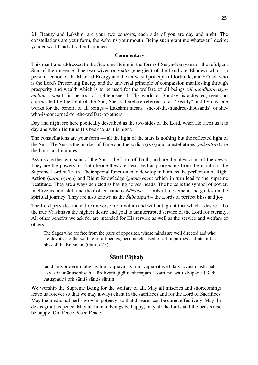24. Beauty and Lakshmi are your two consorts, each side of you are day and night. The constellations are your form, the Ashvins your mouth. Being such grant me whatever I desire; yonder world and all other happiness.

#### **Commentary**

This mantra is addressed to the Supreme Being in the form of Sūrya-Nārāyaṇa or the refulgent Sun of the universe. The two wives or *śaktis* (energies) of the Lord are Bhūdevi who is a personification of the Material Energy and the universal principle of fortitude, and Śrīdevi who is the Lord's Preserving Energy and the universal principle of compassion manifesting through prosperity and wealth which is to be used for the welfare of all beings (*dhana-dharmasyamūlam* – wealth is the root of righteousness). The world or Bhūdevi is activated, seen and appreciated by the light of the Sun, She is therefore referred to as "Beauty" and by day one works for the benefit of all beings – Lakshmi means "she-of-the-hundred-thousands" or shewho-is-concerned-for-the-welfare-of-others.

Day and night are here poetically described as the two sides of the Lord, when He faces us it is day and when He turns His back to us it is night.

The constellations are your form — all the light of the stars is nothing but the reflected light of the Sun. The Sun is the marker of Time and the zodiac (*rāśi*) and constellations (*nakṣatras*) are the hours and minutes.

Aśvins are the twin sons of the Sun – the Lord of Truth, and are the physicians of the devas. They are the powers of Truth hence they are described as proceeding from the mouth of the Supreme Lord of Truth. Their special function is to develop in humans the perfection of Right Action (*karma-yoga*) and Right Knowledge (*jñāna-yoga*) which in turn lead to the supreme Beatitude. They are always depicted as having horses' heads. The horse is the symbol of power, intelligence and skill and their other name is *Nāsatya* – Lords of movement, the guides on the spiritual journey. They are also known as the *Śubhaspati* – the Lords of perfect bliss and joy.

The Lord pervades the entire universe from within and without, grant that which I desire – To the true Vaishnava the highest desire and goal is uninterrupted service of the Lord for eternity. All other benefits we ask for are intended for His service as well as the service and welfare of others.

The Sages who are free from the pairs of opposites, whose minds are well directed and who are devoted to the welfare of all beings, become cleansed of all impurities and attain the bliss of the Brahman. (Gita 5;25)

## **Śānti Pāṭhaḥ**

tacchaṁyor āvṛṇīmahe | gātuṁ yajñāya | gātuṁ yajñapataye | daivī svastir-astu naḥ | svastir mānuṣebhyaḥ | ūrdhvaṁ jigātu bheṣajaṁ | śaṁ no astu dvipade | śaṁ catuspade | om śāntiś śāntiś śāntih

We worship the Supreme Being for the welfare of all. May all miseries and shortcomings leave us forever so that we may always chant in the sacrifices and for the Lord of Sacrifices. May the medicinal herbs grow in potency, so that diseases can be cured effectively. May the devas grant us peace. May all human beings be happy, may all the birds and the beasts also be happy. Om Peace Peace Peace.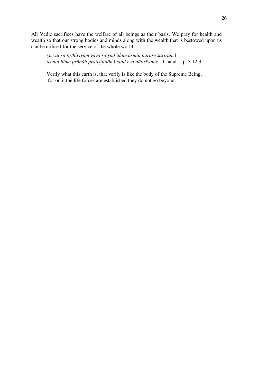All Vedic sacrifices have the welfare of all beings as their basis. We pray for health and wealth so that our strong bodies and minds along with the wealth that is bestowed upon us can be utilised for the service of the whole world.

yā vai sā prthivīyam vāva sā yad idam asmin pūruse śarīram | *asmin hīme prāṇāḥ pratiṣṭhitāḥ | etad eva nātiśīyante* || Chand. Up. 3.12.3.

Verily what this earth is, that verily is like the body of the Supreme Being, for on it the life forces are established they do not go beyond.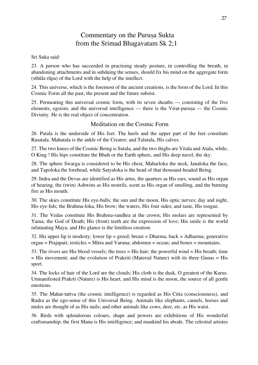# Commentary on the Puruṣa Sukta from the Srimad Bhagavatam Sk 2;1

#### Sri Suka said:

23. A person who has succeeded in practising steady posture, in controlling the breath, in abandoning attachments and in subduing the senses, should fix his mind on the aggregate form (sthūla rūpa) of the Lord with the help of the intellect.

24. This universe, which is the foremost of the ancient creations, is the form of the Lord. In this Cosmic Form all the past, the present and the future subsist.

25. Permeating this universal cosmic form, with its seven sheaths — consisting of the five elements, egoism, and the universal intelligence — there is the Virat-purusa — the Cosmic Divinity. He is the real object of concentration.

## Meditation on the Cosmic Form

26. Patala is the underside of His feet. The heels and the upper part of the feet constitute Rasatala. Mahatala is the ankle of the Creator; and Talatala, His calves.

27. The two knees of the Cosmic Being is Sutala, and the two thighs are Vitala and Atala, while, O King ! His hips constitute the Bhuh or the Earth sphere, and His deep navel, the sky.

28. The sphere Swarga is considered to be His chest, Maharloka the neck, Janaloka the face, and Tapoloka the forehead, while Satyaloka is the head of that thousand-headed Being.

29. Indra and the Devas are identified as His arms, the quarters as His ears, sound as His organ of hearing, the (twin) Ashwins as His nostrils, scent as His organ of smelling, and the burning fire as His mouth.

30. The skies constitute His eye-balls; the sun and the moon, His optic nerves; day and night, His eye-lids; the Brahma-loka, His brow; the waters, His four sides; and taste, His tongue.

31. The Vedas constitute His Brahma-randhra at the crown; His molars are represented by Yama, the God of Death; His (front) teeth are the expression of love; His smile is the world infatuating Maya; and His glance is the limitless creation.

32. His upper lip is modesty; lower lip = greed; breast = Dharma, back = Adharma; generative organ = Prajapati; testicles = Mitra and Varuna; abdomen = ocean; and bones = mountains.

33. The rivers are His blood vessels; the trees = His hair; the powerful wind = His breath; time = His movement; and the evolution of Prakriti (Material Nature) with its three Gunas = His sport.

34. The locks of hair of the Lord are the clouds; His cloth is the dusk, O greatest of the Kurus. Unmanifested Prakrti (Nature) is His heart, and His mind is the moon, the source of all gentle emotions.

35. The Mahat-tattva (the cosmic intelligence) is regarded as His Citta (consciousness), and Rudra as the ego-sense of this Universal Being. Animals like elephants, camels, horses and mules are thought of as His nails; and other animals like cows, deer, etc. as His waist.

36. Birds with splendorous colours, shape and powers are exhibitions of His wonderful craftsmanship; the first Manu is His intelligence; and mankind his abode. The celestial artistes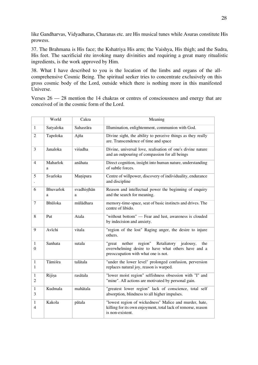like Gandharvas, Vidyadharas, Charanas etc. are His musical tunes while Asuras constitute His prowess.

37. The Brahmana is His face; the Kshatriya His arm; the Vaishya, His thigh; and the Sudra, His feet. The sacrificial rite invoking many divinities and requiring a great many ritualistic ingredients, is the work approved by Him.

38. What I have described to you is the location of the limbs and organs of the allcomprehensive Cosmic Being. The spiritual seeker tries to concentrate exclusively on this gross cosmic body of the Lord, outside which there is nothing more in this manifested Universe.

Verses 26 — 28 mention the 14 chakras or centres of consciousness and energy that are conceived of in the cosmic form of the Lord.

|                                  | World          | Cakra            | Meaning                                                                                                                                                     |  |
|----------------------------------|----------------|------------------|-------------------------------------------------------------------------------------------------------------------------------------------------------------|--|
| $\mathbf{1}$                     | Satyaloka      | Sahasrāra        | Illumination, enlightenment, communion with God.                                                                                                            |  |
| $\overline{2}$                   | Tapoloka       | Ajña             | Divine sight, the ability to perceive things as they really<br>are. Transcendence of time and space                                                         |  |
| 3                                | Janaloka       | viśudha          | Divine, universal love, realisation of one's divine nature<br>and an outpouring of compassion for all beings                                                |  |
| $\overline{4}$                   | Maharlok<br>a  | anāhata          | Direct cognition, insight into human nature, understanding<br>of subtle forces.                                                                             |  |
| 5                                | Svarloka       | Manipura         | Centre of willpower, discovery of individuality, endurance<br>and discipline                                                                                |  |
| 6                                | Bhuvarlok<br>a | svadhisthān<br>a | Reason and intellectual power the beginning of enquiry<br>and the search for meaning.                                                                       |  |
| $\tau$                           | Bhūloka        | mūlādhara        | memory-time-space, seat of basic instincts and drives. The<br>centre of libido.                                                                             |  |
| 8                                | Put            | Atala            | "without bottom" — Fear and lust, awareness is clouded<br>by indecision and anxiety.                                                                        |  |
| 9                                | Avīchi         | vitala           | "region of the lost" Raging anger, the desire to injure<br>others.                                                                                          |  |
| $\mathbf{1}$<br>$\boldsymbol{0}$ | Sanhata        | sutala           | region"<br>"great<br>nether<br>Retaliatory<br>jealousy,<br>the<br>overwhelming desire to have what others have and a<br>preoccupation with what one is not. |  |
| $\mathbf{1}$<br>1                | Tāmiśra        | talātala         | "under the lower level" prolonged confusion, perversion<br>replaces natural joy, reason is warped.                                                          |  |
| 1<br>$\overline{2}$              | Rijisa         | rasātala         | "lower moist region" selfishness obsession with "I" and<br>"mine". All actions are motivated by personal gain.                                              |  |
| 1<br>3                           | Kudmala        | mahātala         | "greatest lower region" lack of conscience, total self<br>absorption, blindness to all higher impulses.                                                     |  |
| $\mathbf{1}$<br>$\overline{4}$   | Kakola         | pātala           | "lowest region of wickedness" Malice and murder, hate,<br>killing for its own enjoyment, total lack of remorse, reason<br>is non-existent.                  |  |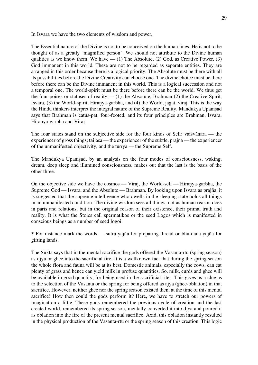In Isvara we have the two elements of wisdom and power,

The Essential nature of the Divine is not to be conceived on the human lines. He is not to be thought of as a greatly "magnified person". We should not attribute to the Divine human qualities as we know them. We have  $- (1)$  The Absolute, (2) God, as Creative Power, (3) God immanent in this world. These are not to be regarded as separate entities. They are arranged in this order because there is a logical priority. The Absolute must be there with all its possibilities before the Divine Creativity can choose one. The divine choice must be there before there can be the Divine immanent in this world. This is a logical succession and not a temporal one. The world-spirit must be there before there can be the world. We thus get the four poises or statuses of reality:— (1) the Absolute, Brahman (2) the Creative Spirit, Isvara, (3) the World-spirit, Hiraṇya-garbha, and (4) the World, jagat, viraj. This is the way the Hindu thinkers interpret the integral nature of the Supreme Reality. Mandukya Upaniṣad says that Brahman is catus-pat, four-footed, and its four principles are Brahman, Isvara, Hiraṇya-garbha and Viraj.

The four states stand on the subjective side for the four kinds of Self; vaiśvānara — the experiencer of gross things; taijasa — the experiencer of the subtle, prājña — the experiencer of the unmanifested objectivity, and the turīya — the Supreme Self.

The Mandukya Upanisad, by an analysis on the four modes of consciousness, waking, dream, deep sleep and illumined consciousness, makes out that the last is the basis of the other three.

On the objective side we have the cosmos — Viraj, the World-self — Hiraṇya-garbha, the Supreme God — Isvara, and the Absolute — Brahman. By looking upon Isvara as prajña, it is suggested that the supreme intelligence who dwells in the sleeping state holds all things in an unmanifested condition. The divine wisdom sees all things, not as human reason does in parts and relations, but in the original reason of their existence, their primal truth and reality. It is what the Stoics call spermatikos or the seed Logos which is manifested in conscious beings as a number of seed logoi.

\* For instance mark the words — sutra-yajña for preparing thread or bhu-dana-yajña for gifting lands.

The Sukta says that in the mental sacrifice the gods offered the Vasanta-rtu (spring season) as djya or ghee into the sacrificial fire. It is a wellknown fact that during the spring season the whole flora and fauna will be at its best. Domestic animals, especially the cows, can eat plenty of grass and hence can yield milk in profuse quantities. So, milk, curds and ghee will be available in good quantity, for being used in the sacrificial rites. This gives us a clue as to the selection of the Vasanta or the spring for being offered as ajya (ghee-oblation) in that sacrifice. However, neither ghee nor the spring season existed then, at the time of this mental sacrifice! How then could the gods perform it? Here, we have to stretch our powers of imagination a little. These gods remembered the previous cycle of creation and the last created world, remembered its spring season, mentally converted it into djya and poured it as oblation into the fire of the present mental sacrifice. Axid, this oblation instantly resulted in the physical production of the Vasanta-rtu or the spring season of this creation. This logic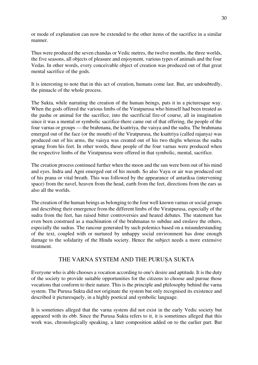or mode of explanation can now be extended to the other items of the sacrifice in a similar manner.

Thus were produced the seven chandas or Vedic metres, the twelve months, the three worlds, the five seasons, all objects of pleasure and enjoyment, various types of animals and the four Vedas. In other words, every conceivable object of creation was produced out of that great mental sacrifice of the gods.

It is interesting to note that in this act of creation, humans come last. But, are undoubtedly, the pinnacle of the whole process.

The Sukta, while narrating the creation of the human beings, puts it in a picturesque way. When the gods offered the various limbs of the Viratpurusa who himself had been treated as the pashu or animal for the sacrifice, into the sacrificial fire-of course, all in imagination since it was a mental or symbolic sacrifice-there came out of that offering, the people of the four varnas or groups — the brahmana, the ksattriya, the vaisya and the sudra. The brahmana emerged out of the face (or the mouth) of the Viratpurusa, the ksattriya (called rajanya) was produced out of his arms, the vaisya was created out of his two thighs whereas the sudra sprang from his feet. In other words, these people of the four varnas were produced when the respective limbs of the Viratpurusa were offered in that symbolic, mental, sacrifice.

The creation process continued further when the moon and the sun were born out of his mind and eyes. Indra and Agni emerged out of his mouth. So also Vayu or air was produced out of his prana or vital breath. This was followed by the appearance of antariksa (intervening space) from the navel, heaven from the head, earth from the feet, directions from the ears as also all the worlds.

The creation of the human beings as belonging to the four well known varnas or social groups and describing their emergence from the different limbs of the Viratpurusa, especially of the sudra from the feet, has raised bitter controversies and heated debates. The statement has even been construed as a machination of the brahmanas to subdue and enslave the others, especially the sudras. The rancour generated by such polemics based on a misunderstanding of the text, coupled with or nurtured by unhappy social environment has done enough damage to the solidarity of the Hindu society. Hence the subject needs a more extensive treatment.

## THE VARNA SYSTEM AND THE PURUṢA SUKTA

Everyone who is able chooses a vocation according to one's desire and aptitude. It is the duty of the society to provide suitable opportunities for the citizens to choose and pursue those vocations that conform to their nature. This is the principle and philosophy behind the varna system. The Purusa Sukta did not originate the system but only recognised its existence and described it picturesquely, in a highly poetical and symbolic language.

It is sometimes alleged that the varna system did not exist in the early Vedic society but appeared with its ebb. Since the Purusa Sukta refers to it, it is sometimes alleged that this work was, chronologically speaking, a later composition added on to the earlier part. But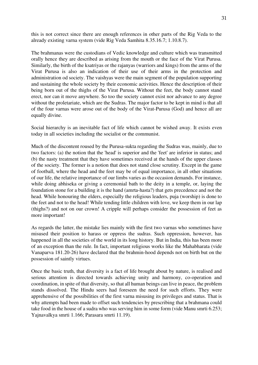this is not correct since there are enough references in other parts of the Rig Veda to the already existing varna system (vide Rig Veda Samhita 8.35.16.7; 1.10.8.7).

The brahmanas were the custodians of Vedic knowledge and culture which was transmitted orally hence they are described as arising from the mouth or the face of the Virat Purusa. Similarly, the birth of the ksatriyas or the rajanyas (warriors and kings) from the arms of the Virat Purusa is also an indication of their use of their arms in the protection and administration od society. The vaishyas were the main segment of the population supporting and sustaining the whole society by their economic activities. Hence the description of their being born out of the thighs of the Virat Purusa. Without the feet, the body cannot stand erect, nor can it move anywhere. So too the society cannot exist nor advance to any degree without the proletariate, which are the Sudras. The major factor to be kept in mind is that all of the four varnas were arose out of the body of the Virat-Purusa (God) and hence all are equally divine.

Social hierarchy is an inevitable fact of life which cannot be wished away. It exists even today in all societies including the socialist or the communist.

Much of the discontent roused by the Purusa-sukta regarding the Sudras was, mainly, due to two factors: (a) the notion that the 'head' is superior and the 'feet' are inferior in status; and (b) the nasty treatment that they have sometimes received at the hands of the upper classes of the society. The former is a notion that does not stand close scrutiny. Except in the game of football, where the head and the feet may be of equal importance, in all other situations of our life, the relative importance of our limbs varies as the occasion demands. For instance, while doing abhiseka or giving a ceremonial bath to the deity in a temple, or, laying the foundation stone for a building it is the hand (amrta-hasta?) that gets precedence and not the head. While honouring the elders, especially the religious leaders, puja (worship) is done to the feet and not to the head! While tending little children with love, we keep them in our lap (thighs?) and not on our crown! A cripple will perhaps consider the possession of feet as more important!

As regards the latter, the mistake lies mainly with the first two varnas who sometimes have misused their position to harass or oppress the sudras. Such oppression, however, has happened in all the societies of the world in its long history. But in India, this has been more of an exception than the rule. In fact, important religious works like the Mahabharata (vide Vanaparva 181.20-26) have declared that the brahmin-hood depends not on birth but on the possession of saintly virtues.

Once the basic truth, that diversity is a fact of life brought about by nature, is realised and serious attention is directed towards achieving unity and harmony, co-operation and coordination, in spite of that diversity, so that all human beings can live in peace, the problem stands dissolved. The Hindu seers had foreseen the need for such efforts. They were apprehensive of the possibilities of the first varna misusing its privileges and status. That is why attempts had been made to offset such tendencies by prescribing that a brahmana could take food in the house of a sudra who was serving him in some form (vide Manu smrti 6.253; Yajnavalkya smrti 1.166; Parasara smrti 11.19).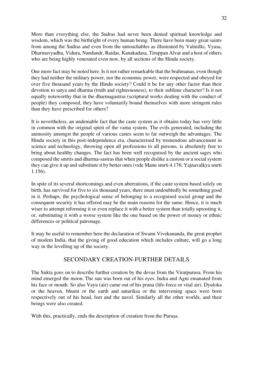More than everything else, the Sudras had never been denied spiritual knowledge and wisdom, which was the birthright of every human being. There have been many great saints from among the Sudras and even from the untouchables as illustrated by Valmilki, Vyasa, Dharmavyadha, Vidura, Nandandr, Raidas, Kanakadasa, Tiruppan Alvar and a host of others who are being highly venerated even now, by all sections of the Hindu society.

One more fact may be noted here. Is it not rather remarkable that the brahmanas, even though they had neither the military power, nor the economic power, were respected and obeyed for over five thousand years by the Hindu society? Could it be for any other factor than their devotion to satya and dharma (truth and righteousness), to their sublime character? Is it not equally noteworthy that in the dharmagastras (scriptural works dealing with the conduct of people) they composed, they have voluntarily bound themselves with more stringent rules than they have prescribed for others?

It is nevertheless, an undeniable fact that the caste system as it obtains today has very little in common with the original spirit of the vama system. The evils generated, including the animosity amongst the people of various castes seem to far outweigh the advantages. The Hindu society in this post-independence era, characterised by tremendous advancement in science and technology, throwing open all professions to all persons, is absolutely free to bring about healthy changes. The fact has been well recognised by the ancient sages who composed the smrtis and dharma-sastras that when people dislike a custom or a social system they can give it up and substitute it by better ones (vide Manu smrti 4.176; Yajnavalkya smrti 1.156).

In spite of its several shortcomings and even aberrations, if the caste system based solely on birth, has survived for five to six thousand years, there must undoubtedly be something good in it. Perhaps, the psychological sense of belonging to a recognised social group and the consequent security it has offered may be the main reasons for the same. Hence, it is much wiser to attempt reforming it or even replace it with a better system than totally uprooting it, or, substituting it with a worse system like the one based on the power of money or ethnic differences or political patronage.

It may be useful to remember here the declaration of Swami Vivekananda, the great prophet of modem India, that the giving of good education which includes culture, will go a long way in the levelling up of the society.

## SECONDARY CREATION-FURTHER DETAILS

The Sukta goes on to describe further creation by the devas from the Viratpurusa. From his mind emerged the moon. The sun was born out of his eyes. Indra and Agni emanated from his face or mouth. So also Vayu (air) came out of his prana (life-force or vital air). Dyuloka or the heaven, bhumi or the earth and antariksa or the intervening space were born respectively out of his head, feet and the navel. Similarly all the other worlds, and their beings were also created.

With this, practically, ends the description of creation from the Purusa.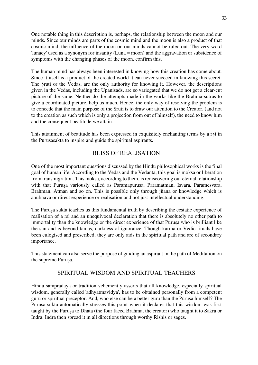One notable thing in this description is, perhaps, the relationship between the moon and our minds. Since our minds are parts of the cosmic mind and the moon is also a product of that cosmic mind, the influence of the moon on our minds cannot be ruled out. The very word 'lunacy' used as a synonym for insanity (Luna = moon) and the aggravation or subsidence of symptoms with the changing phases of the moon, confirm this.

The human mind has always been interested in knowing how this creation has come about. Since it itself is a product of the created world it can never succeed in knowing this secret. The §ruti or the Vedas, are the only authority for knowing it. However, the descriptions given in the Vedas, including the Upanisads, are so variegated that we do not get a clear-cut picture of the same. Neither do the attempts made in the works like the Brahma-sutras to give a coordinated picture, help us much. Hence, the only way of resolving the problem is to concede that the main purpose of the Sruti is to draw our attention to the Creator, (and not to the creation as such which is only a projection from out of himself), the need to know him and the consequent beatitude we attain.

This attainment of beatitude has been expressed in exquisitely enchanting terms by a r§i in the Purusasakta to inspire and guide the spiritual aspirants.

## BLISS OF REALISATION

One of the most important questions discussed by the Hindu philosophical works is the final goal of human life. According to the Vedas and the Vedanta, this goal is moksa or liberation from transmigration. This moksa, according to them, is rediscovering our eternal relationship with that Purusa variously called as Paramapurusa, Paramatman, Isvara, Paramesvara, Brahman, Atman and so on. This is possible only through jñana or knowledge which is anubhava or direct experience or realisation and not just intellectual understanding.

The Purusa sukta teaches us this fundamental truth by describing the ecstatic experience of realisation of a rsi and an unequivocal declaration that there is absolutely no other path to immortality than the knowledge or the direct experience of that Purusa who is brilliant like the sun and is beyond tamas, darkness of ignorance. Though karma or Vedic rituals have been eulogised and prescribed, they are only aids in the spiritual path and are of secondary importance.

This statement can also serve the purpose of guiding an aspirant in the path of Meditation on the supreme Puruṣa.

## SPIRITUAL WISDOM AND SPIRITUAL TEACHERS

Hindu sampradaya or tradition vehemently asserts that all knowledge, especially spiritual wisdom, generally called 'adhyatmavidya', has to be obtained personally from a competent guru or spiritual preceptor. And, who else can be a better guru than the Purusa himself? The Purusa-sukta automatically stresses this point when it declares that this wisdom was first taught by the Purusa to Dhata (the four faced Brahma, the creator) who taught it to Sakra or Indra. Indra then spread it in all directions through worthy Rishis or sages.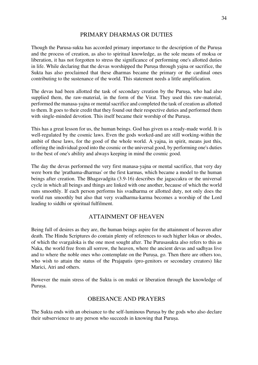## PRIMARY DHARMAS OR DUTIES

Though the Purusa-sukta has accorded primary importance to the description of the Purusa and the process of creation, as also to spiritual knowledge, as the sole means of moksa or liberation, it has not forgotten to stress the significance of performing one's allotted duties in life. While declaring that the devas worshipped the Purusa through yajna or sacrifice, the Sukta has also proclaimed that these dharmas became the primary or the cardinal ones contributing to the sustenance of the world. This statement needs a little amplification.

The devas had been allotted the task of secondary creation by the Purusa, who had also supplied them, the raw-material, in the form of the Virat. They used this raw-material, performed the manasa-yajna or mental sacrifice and completed the task of creation as allotted to them. It goes to their credit that they found out their respective duties and performed them with single-minded devotion. This itself became their worship of the Purusa.

This has a great lesson for us, the human beings. God has given us a ready-made world. It is well-regulated by the cosmic laws. Even the gods worked-and are still working-within the ambit of these laws, for the good of the whole world. A yajna, in spirit, means just this, offering the individual good into the cosmic or the universal good, by performing one's duties to the best of one's ability and always keeping in mind the cosmic good.

The day the devas performed the very first manasa-yajna or mental sacrifice, that very day were born the 'prathama-dharmas' or the first karmas, which became a model to the human beings after creation. The Bhagavadgita (3.9-16) describes the jagaccakra or the universal cycle in which all beings and things are linked with one another, because of which the world runs smoothly. If each person performs his svadharma or allotted duty, not only does the world run smoothly but also that very svadharma-karma becomes a worship of the Lord leading to siddhi or spiritual fulfilment.

## ATTAINMENT OF HEAVEN

Being full of desires as they are, the human beings aspire for the attainment of heaven after death. The Hindu Scriptures do contain plenty of references to such higher lokas or abodes, of which the svargaloka is the one most sought after. The Purusasukta also refers to this as Naka, the world free from all sorrow, the heaven, where the ancient devas and sadhyas live and to where the noble ones who contemplate on the Purusa, go. Then there are others too, who wish to attain the status of the Prajapatis (pro-genitors or secondary creators) like Marici, Atri and others.

However the main stress of the Sukta is on mukti or liberation through the knowledge of Purusa.

## OBEISANCE AND PRAYERS

The Sukta ends with an obeisance to the self-luminous Purusa by the gods who also declare their subservience to any person who succeeds in knowing that Purusa.